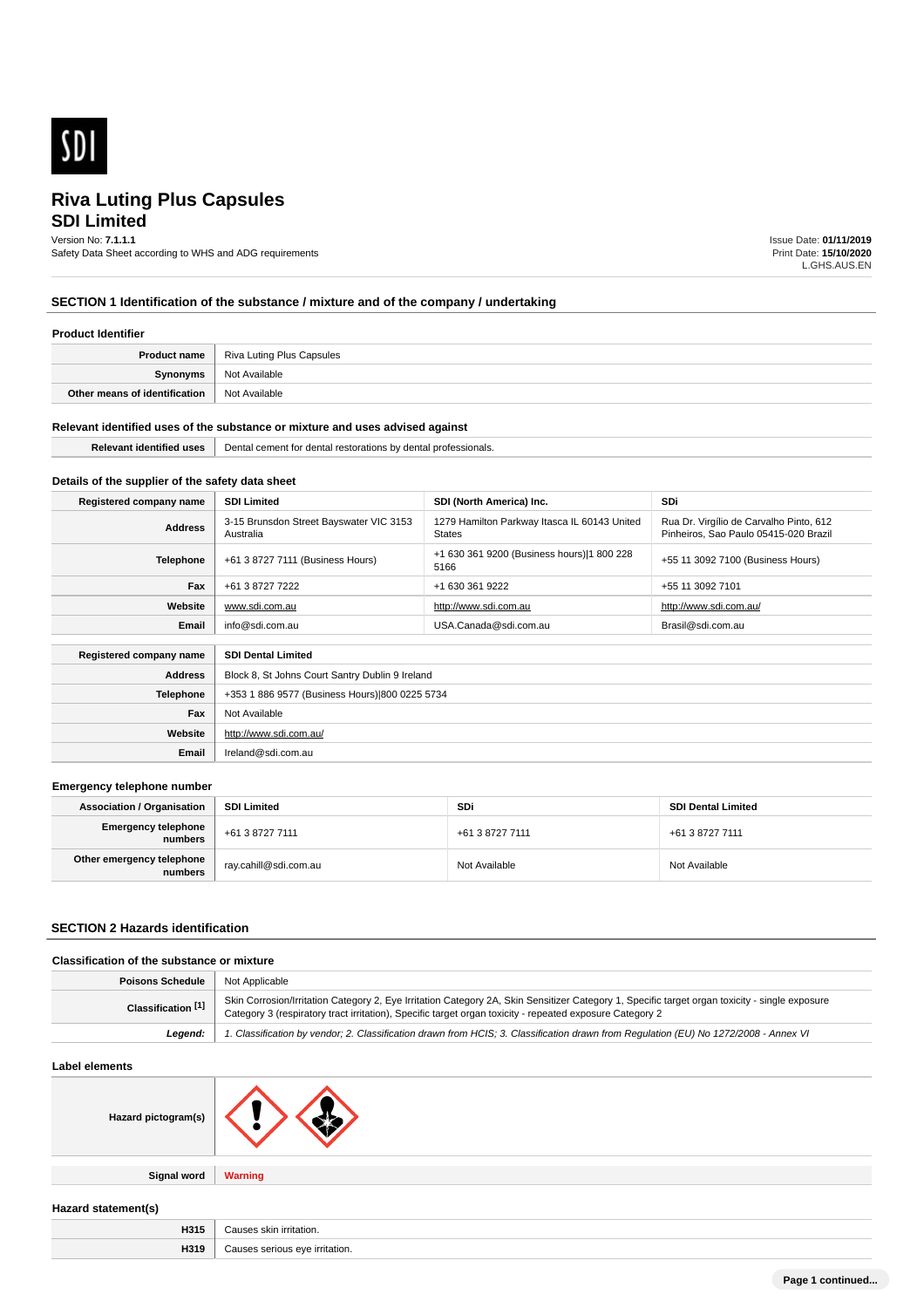

# **SDI Limited Riva Luting Plus Capsules**

#### Version No: **7.1.1.1**

Safety Data Sheet according to WHS and ADG requirements

Issue Date: **01/11/2019** Print Date: **15/10/2020** L.GHS.AUS.EN

# **SECTION 1 Identification of the substance / mixture and of the company / undertaking**

# **Product Identifier**

| <b>Product name</b>           | Riva Luting Plus Capsules |
|-------------------------------|---------------------------|
| Synonyms                      | Not Available             |
| Other means of identification | Not Available             |

#### **Relevant identified uses of the substance or mixture and uses advised against**

| . | Der<br>ment<br>r.<br>` nv<br><br>m<br>,,,,,,<br>ssionais.<br>$\mathbf{u}$<br>$\sim$ $\sim$ $\sim$<br>. |
|---|--------------------------------------------------------------------------------------------------------|
|   |                                                                                                        |

# **Details of the supplier of the safety data sheet**

| Registered company name   | <b>SDI Limited</b>                                   | SDI (North America) Inc.                               | <b>SDi</b>                                                                       |
|---------------------------|------------------------------------------------------|--------------------------------------------------------|----------------------------------------------------------------------------------|
| <b>Address</b>            | 3-15 Brunsdon Street Bayswater VIC 3153<br>Australia | 1279 Hamilton Parkway Itasca IL 60143 United<br>States | Rua Dr. Virgílio de Carvalho Pinto, 612<br>Pinheiros, Sao Paulo 05415-020 Brazil |
| Telephone                 | +61 3 8727 7111 (Business Hours)                     | +1 630 361 9200 (Business hours) 1 800 228<br>5166     | +55 11 3092 7100 (Business Hours)                                                |
| Fax                       | +61 3 8727 7222                                      | +1 630 361 9222                                        | +55 11 3092 7101                                                                 |
| Website                   | www.sdi.com.au                                       | http://www.sdi.com.au                                  | http://www.sdi.com.au/                                                           |
| Email                     | info@sdi.com.au                                      | USA.Canada@sdi.com.au                                  | Brasil@sdi.com.au                                                                |
| Registered company name   | <b>SDI Dental Limited</b>                            |                                                        |                                                                                  |
| <b>Address</b>            | Block 8, St Johns Court Santry Dublin 9 Ireland      |                                                        |                                                                                  |
| <b>The Report Follows</b> | $0.501000007770$ $(0.1100000007701)$                 |                                                        |                                                                                  |

| Telephone | +353 1 886 9577 (Business Hours) 800 0225 5734 |
|-----------|------------------------------------------------|
| Fax       | Not Available                                  |
| Website   | http://www.sdi.com.au/                         |
| Email     | Ireland@sdi.com.au                             |
|           |                                                |

#### **Emergency telephone number**

| <b>Association / Organisation</b>    | <b>SDI Limited</b>    | <b>SDi</b>      | <b>SDI Dental Limited</b> |
|--------------------------------------|-----------------------|-----------------|---------------------------|
| Emergency telephone<br>numbers       | +61 3 8727 7111       | +61 3 8727 7111 | +61 3 8727 7111           |
| Other emergency telephone<br>numbers | ray.cahill@sdi.com.au | Not Available   | Not Available             |

### **SECTION 2 Hazards identification**

## **Classification of the substance or mixture**

| <b>Poisons Schedule   Not Applicable</b> |                                                                                                                                                                                                                                                            |
|------------------------------------------|------------------------------------------------------------------------------------------------------------------------------------------------------------------------------------------------------------------------------------------------------------|
| Classification [1]                       | Skin Corrosion/Irritation Category 2, Eye Irritation Category 2A, Skin Sensitizer Category 1, Specific target organ toxicity - single exposure<br>Category 3 (respiratory tract irritation), Specific target organ toxicity - repeated exposure Category 2 |
| Leaend:                                  | 1. Classification by vendor; 2. Classification drawn from HCIS; 3. Classification drawn from Regulation (EU) No 1272/2008 - Annex VI                                                                                                                       |

## **Label elements**

| Hazard pictogram(s) |  |
|---------------------|--|
|                     |  |

**Signal word Warning**

**Hazard statement(s)**

| . .  |                                 |
|------|---------------------------------|
| H315 | ີ auses skin irritation.        |
| H319 | irritation.<br>0.1000<br>$\sim$ |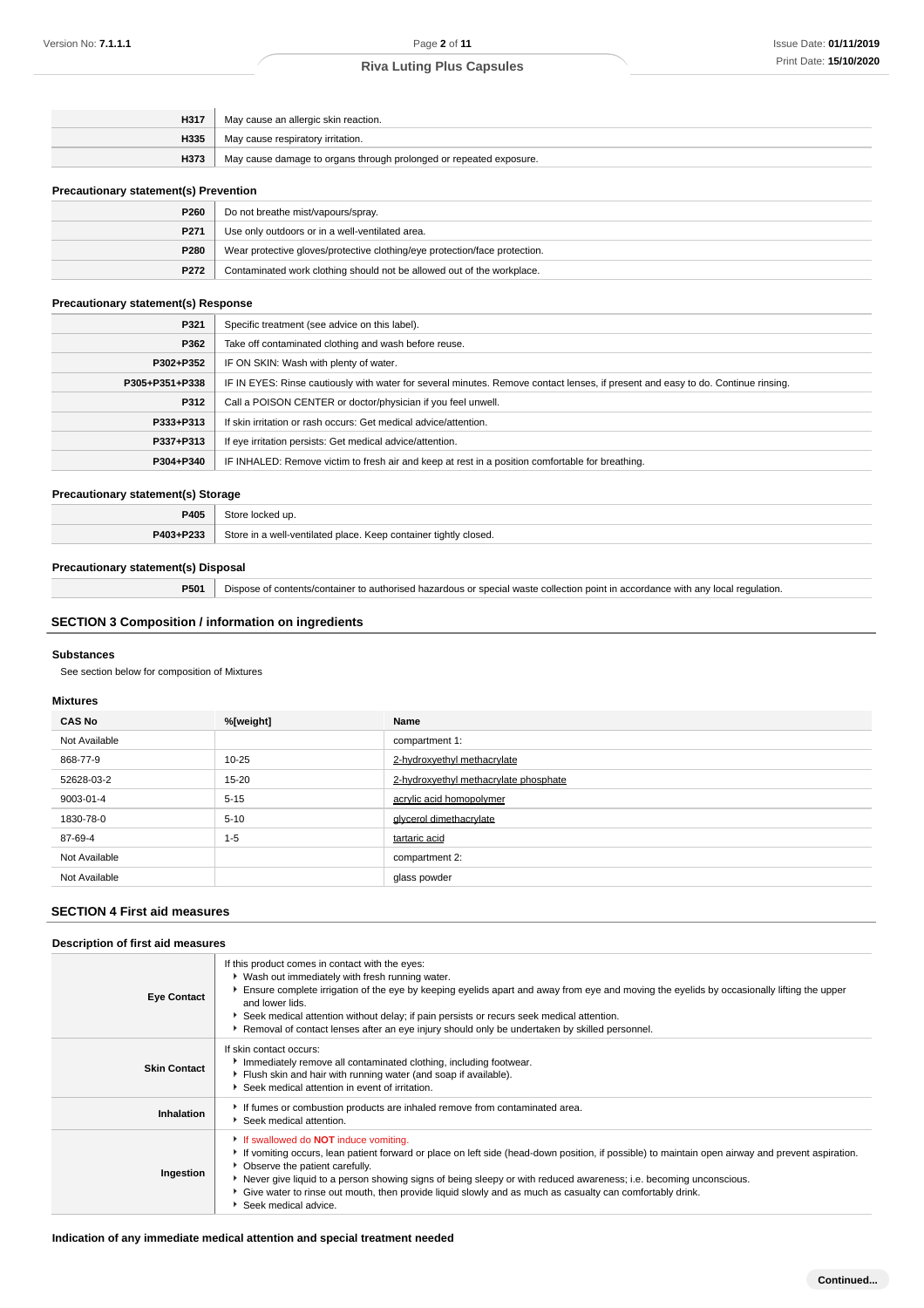| H317 | May cause an allergic skin reaction.                               |
|------|--------------------------------------------------------------------|
| H335 | May cause respiratory irritation.                                  |
| H373 | May cause damage to organs through prolonged or repeated exposure. |
|      |                                                                    |

#### **Precautionary statement(s) Prevention**

| P <sub>260</sub> | Do not breathe mist/vapours/spray.                                         |
|------------------|----------------------------------------------------------------------------|
| P <sub>271</sub> | Use only outdoors or in a well-ventilated area.                            |
| P280             | Wear protective gloves/protective clothing/eye protection/face protection. |
| P272             | Contaminated work clothing should not be allowed out of the workplace.     |

#### **Precautionary statement(s) Response**

| P321           | Specific treatment (see advice on this label).                                                                                   |
|----------------|----------------------------------------------------------------------------------------------------------------------------------|
| P362           | Take off contaminated clothing and wash before reuse.                                                                            |
| P302+P352      | IF ON SKIN: Wash with plenty of water.                                                                                           |
| P305+P351+P338 | IF IN EYES: Rinse cautiously with water for several minutes. Remove contact lenses, if present and easy to do. Continue rinsing. |
| P312           | Call a POISON CENTER or doctor/physician if you feel unwell.                                                                     |
| P333+P313      | If skin irritation or rash occurs: Get medical advice/attention.                                                                 |
| P337+P313      | If eye irritation persists: Get medical advice/attention.                                                                        |
| P304+P340      | IF INHALED: Remove victim to fresh air and keep at rest in a position comfortable for breathing.                                 |

# **Precautionary statement(s) Storage**

| P405      | Store locked up.                                                 |
|-----------|------------------------------------------------------------------|
| P403+P233 | Store in a well-ventilated place. Keep container tightly closed. |

### **Precautionary statement(s) Disposal**

**P501** Dispose of contents/container to authorised hazardous or special waste collection point in accordance with any local regulation.

# **SECTION 3 Composition / information on ingredients**

### **Substances**

See section below for composition of Mixtures

#### **Mixtures**

| <b>CAS No</b> | %[weight] | Name                                  |
|---------------|-----------|---------------------------------------|
| Not Available |           | compartment 1:                        |
| 868-77-9      | $10 - 25$ | 2-hydroxyethyl methacrylate           |
| 52628-03-2    | $15 - 20$ | 2-hydroxyethyl methacrylate phosphate |
| 9003-01-4     | $5 - 15$  | acrylic acid homopolymer              |
| 1830-78-0     | $5 - 10$  | glycerol dimethacrylate               |
| 87-69-4       | $1 - 5$   | tartaric acid                         |
| Not Available |           | compartment 2:                        |
| Not Available |           | glass powder                          |

# **SECTION 4 First aid measures**

# **Description of first aid measures**

| <b>Eye Contact</b>  | If this product comes in contact with the eyes:<br>▶ Wash out immediately with fresh running water.<br>Ensure complete irrigation of the eye by keeping eyelids apart and away from eye and moving the eyelids by occasionally lifting the upper<br>and lower lids.<br>Seek medical attention without delay; if pain persists or recurs seek medical attention.<br>Removal of contact lenses after an eye injury should only be undertaken by skilled personnel.                               |
|---------------------|------------------------------------------------------------------------------------------------------------------------------------------------------------------------------------------------------------------------------------------------------------------------------------------------------------------------------------------------------------------------------------------------------------------------------------------------------------------------------------------------|
| <b>Skin Contact</b> | If skin contact occurs:<br>Immediately remove all contaminated clothing, including footwear.<br>Flush skin and hair with running water (and soap if available).<br>Seek medical attention in event of irritation.                                                                                                                                                                                                                                                                              |
| Inhalation          | If fumes or combustion products are inhaled remove from contaminated area.<br>Seek medical attention.                                                                                                                                                                                                                                                                                                                                                                                          |
| Ingestion           | If swallowed do <b>NOT</b> induce vomiting.<br>If vomiting occurs, lean patient forward or place on left side (head-down position, if possible) to maintain open airway and prevent aspiration.<br>• Observe the patient carefully.<br>▶ Never give liquid to a person showing signs of being sleepy or with reduced awareness; i.e. becoming unconscious.<br>Give water to rinse out mouth, then provide liquid slowly and as much as casualty can comfortably drink.<br>Seek medical advice. |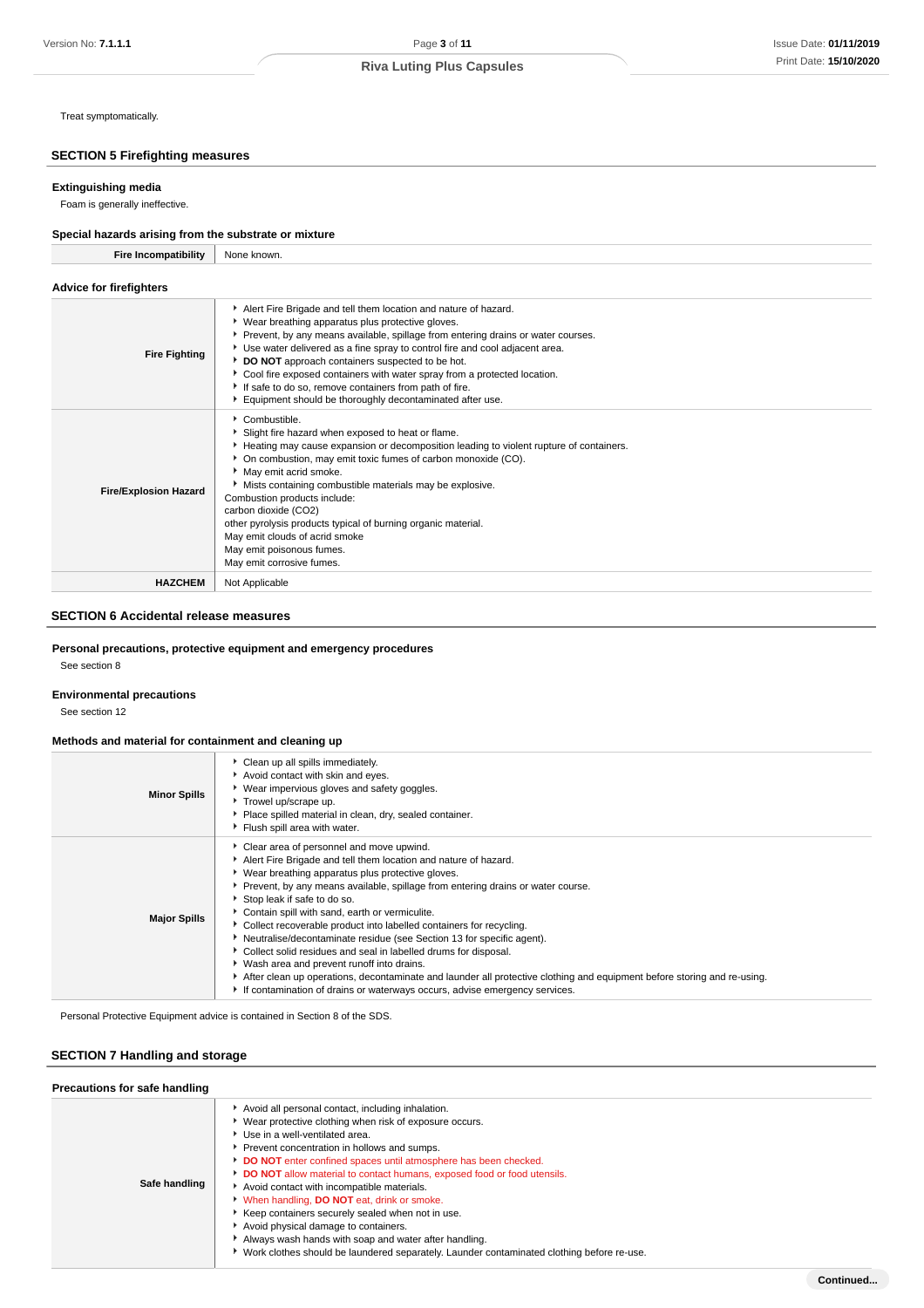Treat symptomatically.

# **SECTION 5 Firefighting measures**

#### **Extinguishing media**

Foam is generally ineffective.

# **Special hazards arising from the substrate or mixture**

| <b>Fire Incompatibility</b>    | None known.                                                                                                                                                                                                                                                                                                                                                                                                                                                                                                                                     |
|--------------------------------|-------------------------------------------------------------------------------------------------------------------------------------------------------------------------------------------------------------------------------------------------------------------------------------------------------------------------------------------------------------------------------------------------------------------------------------------------------------------------------------------------------------------------------------------------|
| <b>Advice for firefighters</b> |                                                                                                                                                                                                                                                                                                                                                                                                                                                                                                                                                 |
| <b>Fire Fighting</b>           | Alert Fire Brigade and tell them location and nature of hazard.<br>▶ Wear breathing apparatus plus protective gloves.<br>▶ Prevent, by any means available, spillage from entering drains or water courses.<br>Use water delivered as a fine spray to control fire and cool adjacent area.<br>DO NOT approach containers suspected to be hot.<br>Cool fire exposed containers with water spray from a protected location.<br>If safe to do so, remove containers from path of fire.<br>Equipment should be thoroughly decontaminated after use. |
| <b>Fire/Explosion Hazard</b>   | Combustible.<br>Slight fire hazard when exposed to heat or flame.<br>Heating may cause expansion or decomposition leading to violent rupture of containers.<br>• On combustion, may emit toxic fumes of carbon monoxide (CO).<br>May emit acrid smoke.<br>Mists containing combustible materials may be explosive.<br>Combustion products include:<br>carbon dioxide (CO2)<br>other pyrolysis products typical of burning organic material.<br>May emit clouds of acrid smoke<br>May emit poisonous fumes.<br>May emit corrosive fumes.         |
| <b>HAZCHEM</b>                 | Not Applicable                                                                                                                                                                                                                                                                                                                                                                                                                                                                                                                                  |

# **SECTION 6 Accidental release measures**

### **Personal precautions, protective equipment and emergency procedures**

See section 8

# **Environmental precautions**

See section 12

### **Methods and material for containment and cleaning up**

| <b>Minor Spills</b> | • Clean up all spills immediately.<br>Avoid contact with skin and eyes.<br>▶ Wear impervious gloves and safety goggles.<br>Trowel up/scrape up.<br>Place spilled material in clean, dry, sealed container.<br>Flush spill area with water.                                                                                                                                                                                                                                                                                                                                                                                                                                                                                                                                                                         |
|---------------------|--------------------------------------------------------------------------------------------------------------------------------------------------------------------------------------------------------------------------------------------------------------------------------------------------------------------------------------------------------------------------------------------------------------------------------------------------------------------------------------------------------------------------------------------------------------------------------------------------------------------------------------------------------------------------------------------------------------------------------------------------------------------------------------------------------------------|
| <b>Major Spills</b> | Clear area of personnel and move upwind.<br>Alert Fire Brigade and tell them location and nature of hazard.<br>▶ Wear breathing apparatus plus protective gloves.<br>Prevent, by any means available, spillage from entering drains or water course.<br>Stop leak if safe to do so.<br>Contain spill with sand, earth or vermiculite.<br>Collect recoverable product into labelled containers for recycling.<br>• Neutralise/decontaminate residue (see Section 13 for specific agent).<br>Collect solid residues and seal in labelled drums for disposal.<br>• Wash area and prevent runoff into drains.<br>After clean up operations, decontaminate and launder all protective clothing and equipment before storing and re-using.<br>If contamination of drains or waterways occurs, advise emergency services. |

Personal Protective Equipment advice is contained in Section 8 of the SDS.

# **SECTION 7 Handling and storage**

| Precautions for safe handling |                                                                                                                                                                                                                                                                                                                                                                                                                                                                                                                                                                                                                                                                                                   |  |  |  |
|-------------------------------|---------------------------------------------------------------------------------------------------------------------------------------------------------------------------------------------------------------------------------------------------------------------------------------------------------------------------------------------------------------------------------------------------------------------------------------------------------------------------------------------------------------------------------------------------------------------------------------------------------------------------------------------------------------------------------------------------|--|--|--|
| Safe handling                 | Avoid all personal contact, including inhalation.<br>Wear protective clothing when risk of exposure occurs.<br>Use in a well-ventilated area.<br>Prevent concentration in hollows and sumps.<br>DO NOT enter confined spaces until atmosphere has been checked.<br>DO NOT allow material to contact humans, exposed food or food utensils.<br>Avoid contact with incompatible materials.<br>When handling, <b>DO NOT</b> eat, drink or smoke.<br>Keep containers securely sealed when not in use.<br>Avoid physical damage to containers.<br>Always wash hands with soap and water after handling.<br>► Work clothes should be laundered separately. Launder contaminated clothing before re-use. |  |  |  |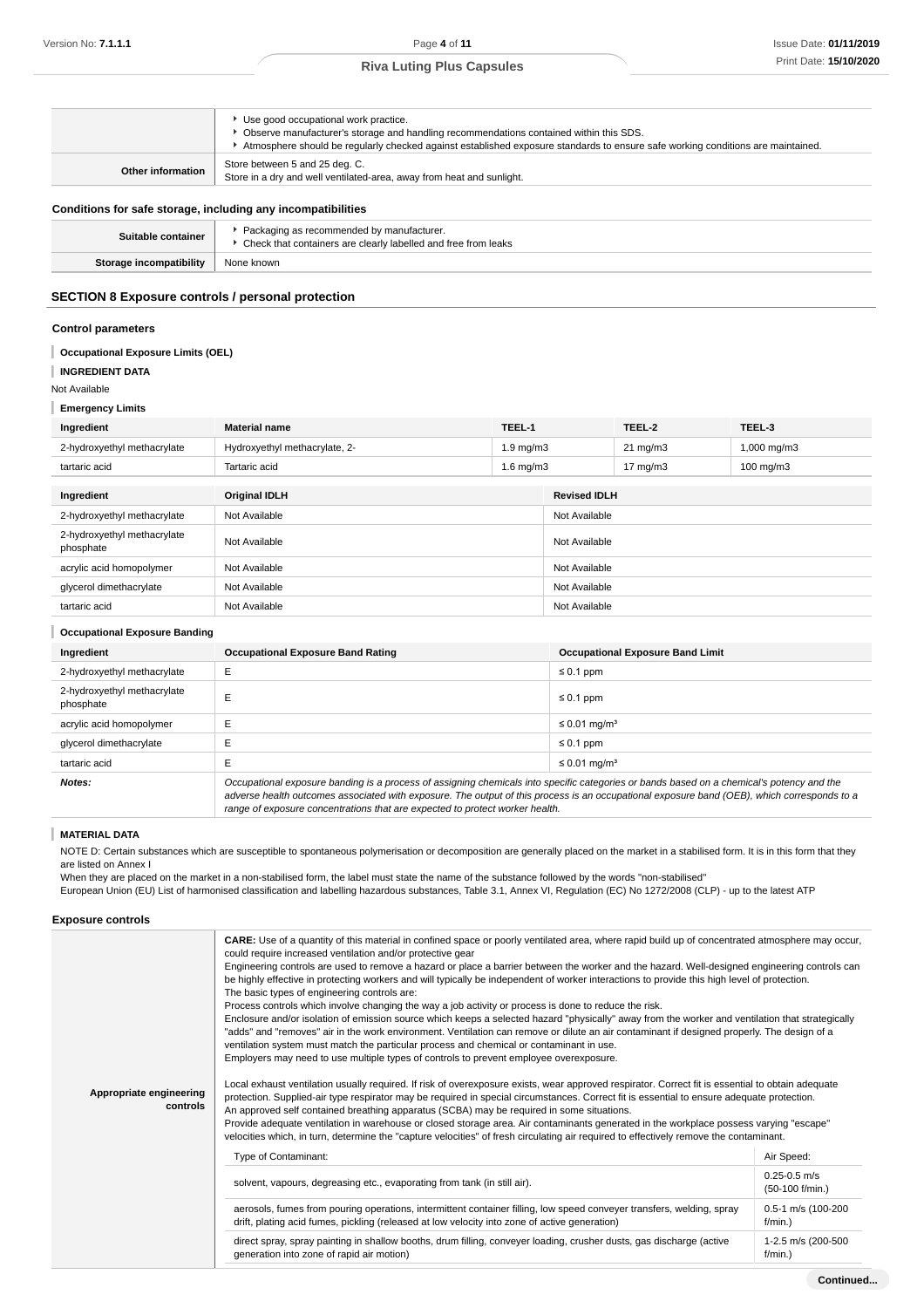|                                                              | Use good occupational work practice.<br>• Observe manufacturer's storage and handling recommendations contained within this SDS.<br>Atmosphere should be regularly checked against established exposure standards to ensure safe working conditions are maintained. |  |
|--------------------------------------------------------------|---------------------------------------------------------------------------------------------------------------------------------------------------------------------------------------------------------------------------------------------------------------------|--|
| Other information                                            | Store between 5 and 25 deg. C.<br>Store in a dry and well ventilated-area, away from heat and sunlight.                                                                                                                                                             |  |
| Conditions for safe storage, including any incompatibilities |                                                                                                                                                                                                                                                                     |  |
| Suitable container                                           | Packaging as recommended by manufacturer.<br>• Check that containers are clearly labelled and free from leaks                                                                                                                                                       |  |

# **SECTION 8 Exposure controls / personal protection**

**Storage incompatibility** None known

#### **Control parameters**

#### I **Occupational Exposure Limits (OEL)**

**INGREDIENT DATA** ı

Not Available

#### **Emergency Limits**

| $=$ $$                                   |                               |                    |                     |                   |                      |
|------------------------------------------|-------------------------------|--------------------|---------------------|-------------------|----------------------|
| Ingredient                               | <b>Material name</b>          | TEEL-1             |                     | TEEL-2            | TEEL-3               |
| 2-hydroxyethyl methacrylate              | Hydroxyethyl methacrylate, 2- | $1.9 \text{ mg/m}$ |                     | $21 \text{ mg/m}$ | 1,000 mg/m3          |
| tartaric acid                            | Tartaric acid                 | $1.6$ mg/m $3$     |                     | $17 \text{ mg/m}$ | $100 \text{ mg/m}$ 3 |
|                                          |                               |                    |                     |                   |                      |
| Ingredient                               | <b>Original IDLH</b>          |                    | <b>Revised IDLH</b> |                   |                      |
| 2-hydroxyethyl methacrylate              | Not Available                 |                    | Not Available       |                   |                      |
| 2-hydroxyethyl methacrylate<br>phosphate | Not Available                 |                    | Not Available       |                   |                      |
| acrylic acid homopolymer                 | Not Available                 |                    | Not Available       |                   |                      |
| glycerol dimethacrylate                  | Not Available                 |                    | Not Available       |                   |                      |
| tartaric acid                            | Not Available                 |                    | Not Available       |                   |                      |

# **Occupational Exposure Banding Ingredient Occupational Exposure Band Rating Occupational Exposure Band Limit** 2-hydroxyethyl methacrylate E ≤ 0.1 ppm 2-hydroxyethyl methacrylate  $\left| \begin{array}{c} \text{E} \\ \text{E} \end{array} \right|$   $\leq 0.1$  ppm acrylic acid homopolymer  $\qquad \qquad \vdots$ glycerol dimethacrylate E ≤ 0.1 ppm tartaric acid  $E =$   $\frac{1}{2}$  E **Notes: Occupational exposure banding is a process of assigning chemicals into specific categories or bands based on a chemical's potency and the <b>Notes:**

adverse health outcomes associated with exposure. The output of this process is an occupational exposure band (OEB), which corresponds to a range of exposure concentrations that are expected to protect worker health.

#### T **MATERIAL DATA**

NOTE D: Certain substances which are susceptible to spontaneous polymerisation or decomposition are generally placed on the market in a stabilised form. It is in this form that they are listed on Annex I

When they are placed on the market in a non-stabilised form, the label must state the name of the substance followed by the words "non-stabilised"

European Union (EU) List of harmonised classification and labelling hazardous substances, Table 3.1, Annex VI, Regulation (EC) No 1272/2008 (CLP) - up to the latest ATP

#### **Exposure controls**

| Appropriate engineering<br>controls | <b>CARE:</b> Use of a quantity of this material in confined space or poorly ventilated area, where rapid build up of concentrated atmosphere may occur,<br>could require increased ventilation and/or protective gear<br>Engineering controls are used to remove a hazard or place a barrier between the worker and the hazard. Well-designed engineering controls can<br>be highly effective in protecting workers and will typically be independent of worker interactions to provide this high level of protection.<br>The basic types of engineering controls are:<br>Process controls which involve changing the way a job activity or process is done to reduce the risk.<br>Enclosure and/or isolation of emission source which keeps a selected hazard "physically" away from the worker and ventilation that strategically<br>"adds" and "removes" air in the work environment. Ventilation can remove or dilute an air contaminant if designed properly. The design of a<br>ventilation system must match the particular process and chemical or contaminant in use.<br>Employers may need to use multiple types of controls to prevent employee overexposure.<br>Local exhaust ventilation usually required. If risk of overexposure exists, wear approved respirator. Correct fit is essential to obtain adequate<br>protection. Supplied-air type respirator may be required in special circumstances. Correct fit is essential to ensure adequate protection.<br>An approved self contained breathing apparatus (SCBA) may be required in some situations.<br>Provide adequate ventilation in warehouse or closed storage area. Air contaminants generated in the workplace possess varying "escape" |                                     |  |  |
|-------------------------------------|--------------------------------------------------------------------------------------------------------------------------------------------------------------------------------------------------------------------------------------------------------------------------------------------------------------------------------------------------------------------------------------------------------------------------------------------------------------------------------------------------------------------------------------------------------------------------------------------------------------------------------------------------------------------------------------------------------------------------------------------------------------------------------------------------------------------------------------------------------------------------------------------------------------------------------------------------------------------------------------------------------------------------------------------------------------------------------------------------------------------------------------------------------------------------------------------------------------------------------------------------------------------------------------------------------------------------------------------------------------------------------------------------------------------------------------------------------------------------------------------------------------------------------------------------------------------------------------------------------------------------------------------------------------------------------------------------------------------|-------------------------------------|--|--|
|                                     | Type of Contaminant:                                                                                                                                                                                                                                                                                                                                                                                                                                                                                                                                                                                                                                                                                                                                                                                                                                                                                                                                                                                                                                                                                                                                                                                                                                                                                                                                                                                                                                                                                                                                                                                                                                                                                               | Air Speed:                          |  |  |
|                                     | solvent, vapours, degreasing etc., evaporating from tank (in still air).                                                                                                                                                                                                                                                                                                                                                                                                                                                                                                                                                                                                                                                                                                                                                                                                                                                                                                                                                                                                                                                                                                                                                                                                                                                                                                                                                                                                                                                                                                                                                                                                                                           | $0.25 - 0.5$ m/s<br>(50-100 f/min.) |  |  |
|                                     | aerosols, fumes from pouring operations, intermittent container filling, low speed conveyer transfers, welding, spray<br>drift, plating acid fumes, pickling (released at low velocity into zone of active generation)                                                                                                                                                                                                                                                                                                                                                                                                                                                                                                                                                                                                                                                                                                                                                                                                                                                                                                                                                                                                                                                                                                                                                                                                                                                                                                                                                                                                                                                                                             | 0.5-1 m/s (100-200<br>f/min.        |  |  |
|                                     | direct spray, spray painting in shallow booths, drum filling, conveyer loading, crusher dusts, gas discharge (active<br>generation into zone of rapid air motion)                                                                                                                                                                                                                                                                                                                                                                                                                                                                                                                                                                                                                                                                                                                                                                                                                                                                                                                                                                                                                                                                                                                                                                                                                                                                                                                                                                                                                                                                                                                                                  | 1-2.5 m/s (200-500<br>f/min.        |  |  |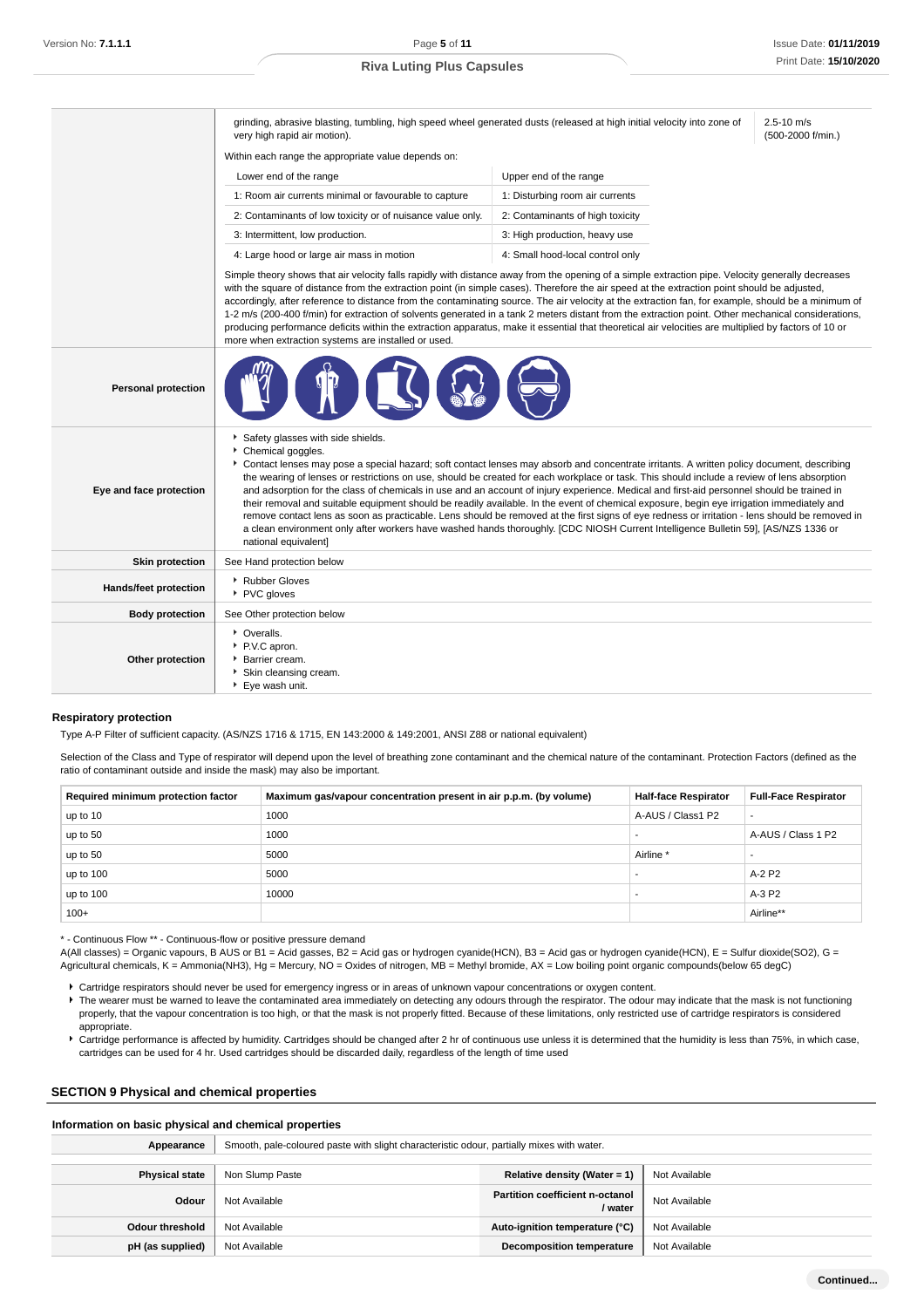grinding, abrasive blasting, tumbling, high speed wheel generated dusts (released at high initial velocity into zone of very high rapid air motion).

2.5-10 m/s (500-2000 f/min.)

Within each range the appropriate value depends on:

| Lower end of the range                                     | Upper end of the range           |
|------------------------------------------------------------|----------------------------------|
| 1: Room air currents minimal or favourable to capture      | 1: Disturbing room air currents  |
| 2: Contaminants of low toxicity or of nuisance value only. | 2: Contaminants of high toxicity |
| 3: Intermittent, low production.                           | 3: High production, heavy use    |
| 4: Large hood or large air mass in motion                  | 4: Small hood-local control only |

Simple theory shows that air velocity falls rapidly with distance away from the opening of a simple extraction pipe. Velocity generally decreases with the square of distance from the extraction point (in simple cases). Therefore the air speed at the extraction point should be adjusted, accordingly, after reference to distance from the contaminating source. The air velocity at the extraction fan, for example, should be a minimum of 1-2 m/s (200-400 f/min) for extraction of solvents generated in a tank 2 meters distant from the extraction point. Other mechanical considerations, producing performance deficits within the extraction apparatus, make it essential that theoretical air velocities are multiplied by factors of 10 or more when extraction systems are installed or used.

| <b>Personal protection</b>   |                                                                                                                                                                                                                                                                                                                                                                                                                                                                                                                                                                                                                                                                                                                                                                                                                                                                                                                                                               |
|------------------------------|---------------------------------------------------------------------------------------------------------------------------------------------------------------------------------------------------------------------------------------------------------------------------------------------------------------------------------------------------------------------------------------------------------------------------------------------------------------------------------------------------------------------------------------------------------------------------------------------------------------------------------------------------------------------------------------------------------------------------------------------------------------------------------------------------------------------------------------------------------------------------------------------------------------------------------------------------------------|
| Eye and face protection      | Safety glasses with side shields.<br>Chemical goggles.<br>Contact lenses may pose a special hazard; soft contact lenses may absorb and concentrate irritants. A written policy document, describing<br>the wearing of lenses or restrictions on use, should be created for each workplace or task. This should include a review of lens absorption<br>and adsorption for the class of chemicals in use and an account of injury experience. Medical and first-aid personnel should be trained in<br>their removal and suitable equipment should be readily available. In the event of chemical exposure, begin eye irrigation immediately and<br>remove contact lens as soon as practicable. Lens should be removed at the first signs of eye redness or irritation - lens should be removed in<br>a clean environment only after workers have washed hands thoroughly. [CDC NIOSH Current Intelligence Bulletin 59], [AS/NZS 1336 or<br>national equivalent] |
| <b>Skin protection</b>       | See Hand protection below                                                                                                                                                                                                                                                                                                                                                                                                                                                                                                                                                                                                                                                                                                                                                                                                                                                                                                                                     |
| <b>Hands/feet protection</b> | ▶ Rubber Gloves<br>PVC gloves                                                                                                                                                                                                                                                                                                                                                                                                                                                                                                                                                                                                                                                                                                                                                                                                                                                                                                                                 |
| <b>Body protection</b>       | See Other protection below                                                                                                                                                                                                                                                                                                                                                                                                                                                                                                                                                                                                                                                                                                                                                                                                                                                                                                                                    |
| Other protection             | • Overalls.<br>P.V.C apron.<br><b>Barrier cream.</b><br>Skin cleansing cream.<br>Eye wash unit.                                                                                                                                                                                                                                                                                                                                                                                                                                                                                                                                                                                                                                                                                                                                                                                                                                                               |

#### **Respiratory protection**

Type A-P Filter of sufficient capacity. (AS/NZS 1716 & 1715, EN 143:2000 & 149:2001, ANSI Z88 or national equivalent)

Selection of the Class and Type of respirator will depend upon the level of breathing zone contaminant and the chemical nature of the contaminant. Protection Factors (defined as the ratio of contaminant outside and inside the mask) may also be important.

| Required minimum protection factor | Maximum gas/vapour concentration present in air p.p.m. (by volume) | <b>Half-face Respirator</b> | <b>Full-Face Respirator</b> |
|------------------------------------|--------------------------------------------------------------------|-----------------------------|-----------------------------|
| up to 10                           | 1000                                                               | A-AUS / Class1 P2           |                             |
| up to 50                           | 1000                                                               |                             | A-AUS / Class 1 P2          |
| up to 50                           | 5000                                                               | Airline <sup>*</sup>        |                             |
| up to 100                          | 5000                                                               |                             | A-2 P2                      |
| up to $100$                        | 10000                                                              |                             | A-3 P2                      |
| $100+$                             |                                                                    |                             | Airline**                   |

\* - Continuous Flow \*\* - Continuous-flow or positive pressure demand

A(All classes) = Organic vapours, B AUS or B1 = Acid gasses, B2 = Acid gas or hydrogen cyanide(HCN), B3 = Acid gas or hydrogen cyanide(HCN), E = Sulfur dioxide(SO2), G = Agricultural chemicals, K = Ammonia(NH3), Hg = Mercury, NO = Oxides of nitrogen, MB = Methyl bromide, AX = Low boiling point organic compounds(below 65 degC)

Cartridge respirators should never be used for emergency ingress or in areas of unknown vapour concentrations or oxygen content.

F The wearer must be warned to leave the contaminated area immediately on detecting any odours through the respirator. The odour may indicate that the mask is not functioning properly, that the vapour concentration is too high, or that the mask is not properly fitted. Because of these limitations, only restricted use of cartridge respirators is considered appropriate.

Cartridge performance is affected by humidity. Cartridges should be changed after 2 hr of continuous use unless it is determined that the humidity is less than 75%, in which case, cartridges can be used for 4 hr. Used cartridges should be discarded daily, regardless of the length of time used

#### **SECTION 9 Physical and chemical properties**

#### **Information on basic physical and chemical properties**

| Appearance            | Smooth, pale-coloured paste with slight characteristic odour, partially mixes with water. |                                                                    |               |  |  |
|-----------------------|-------------------------------------------------------------------------------------------|--------------------------------------------------------------------|---------------|--|--|
|                       |                                                                                           |                                                                    |               |  |  |
| <b>Physical state</b> | Non Slump Paste<br>Relative density (Water = $1$ )<br>Not Available                       |                                                                    |               |  |  |
| Odour                 | Not Available                                                                             | <b>Partition coefficient n-octanol</b><br>Not Available<br>/ water |               |  |  |
| Odour threshold       | Not Available                                                                             | Auto-ignition temperature (°C)                                     | Not Available |  |  |
| pH (as supplied)      | Not Available                                                                             | <b>Decomposition temperature</b>                                   | Not Available |  |  |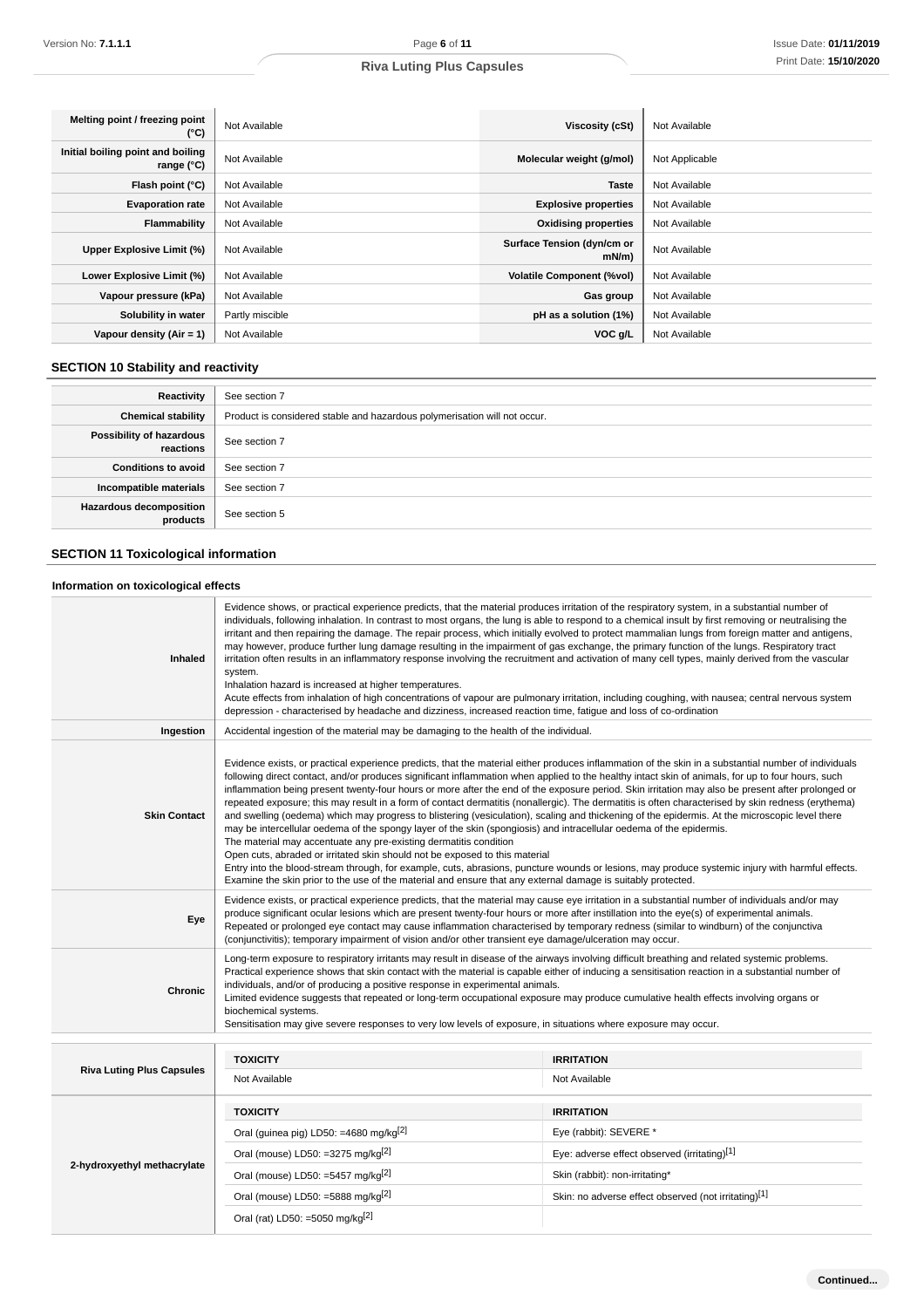| Melting point / freezing point<br>(°C)                   | Not Available   | <b>Viscosity (cSt)</b>             | Not Available  |
|----------------------------------------------------------|-----------------|------------------------------------|----------------|
| Initial boiling point and boiling<br>range $(^{\circ}C)$ | Not Available   | Molecular weight (g/mol)           | Not Applicable |
| Flash point (°C)                                         | Not Available   | <b>Taste</b>                       | Not Available  |
| <b>Evaporation rate</b>                                  | Not Available   | <b>Explosive properties</b>        | Not Available  |
| Flammability                                             | Not Available   | <b>Oxidising properties</b>        | Not Available  |
| Upper Explosive Limit (%)                                | Not Available   | Surface Tension (dyn/cm or<br>mN/m | Not Available  |
| Lower Explosive Limit (%)                                | Not Available   | <b>Volatile Component (%vol)</b>   | Not Available  |
| Vapour pressure (kPa)                                    | Not Available   | Gas group                          | Not Available  |
| Solubility in water                                      | Partly miscible | pH as a solution (1%)              | Not Available  |
| Vapour density $(Air = 1)$                               | Not Available   | VOC g/L                            | Not Available  |

# **SECTION 10 Stability and reactivity**

| Reactivity                            | See section 7                                                             |
|---------------------------------------|---------------------------------------------------------------------------|
| <b>Chemical stability</b>             | Product is considered stable and hazardous polymerisation will not occur. |
| Possibility of hazardous<br>reactions | See section 7                                                             |
| <b>Conditions to avoid</b>            | See section 7                                                             |
| Incompatible materials                | See section 7                                                             |
| Hazardous decomposition<br>products   | See section 5                                                             |

# **SECTION 11 Toxicological information**

# **Information on toxicological effects**

| Inhaled                          | Evidence shows, or practical experience predicts, that the material produces irritation of the respiratory system, in a substantial number of<br>individuals, following inhalation. In contrast to most organs, the lung is able to respond to a chemical insult by first removing or neutralising the<br>irritant and then repairing the damage. The repair process, which initially evolved to protect mammalian lungs from foreign matter and antigens,<br>may however, produce further lung damage resulting in the impairment of gas exchange, the primary function of the lungs. Respiratory tract<br>irritation often results in an inflammatory response involving the recruitment and activation of many cell types, mainly derived from the vascular<br>system.<br>Inhalation hazard is increased at higher temperatures.<br>Acute effects from inhalation of high concentrations of vapour are pulmonary irritation, including coughing, with nausea; central nervous system<br>depression - characterised by headache and dizziness, increased reaction time, fatigue and loss of co-ordination                                                                                                                                                                                                           |                                                      |  |
|----------------------------------|-----------------------------------------------------------------------------------------------------------------------------------------------------------------------------------------------------------------------------------------------------------------------------------------------------------------------------------------------------------------------------------------------------------------------------------------------------------------------------------------------------------------------------------------------------------------------------------------------------------------------------------------------------------------------------------------------------------------------------------------------------------------------------------------------------------------------------------------------------------------------------------------------------------------------------------------------------------------------------------------------------------------------------------------------------------------------------------------------------------------------------------------------------------------------------------------------------------------------------------------------------------------------------------------------------------------------|------------------------------------------------------|--|
| Ingestion                        | Accidental ingestion of the material may be damaging to the health of the individual.                                                                                                                                                                                                                                                                                                                                                                                                                                                                                                                                                                                                                                                                                                                                                                                                                                                                                                                                                                                                                                                                                                                                                                                                                                 |                                                      |  |
| <b>Skin Contact</b>              | Evidence exists, or practical experience predicts, that the material either produces inflammation of the skin in a substantial number of individuals<br>following direct contact, and/or produces significant inflammation when applied to the healthy intact skin of animals, for up to four hours, such<br>inflammation being present twenty-four hours or more after the end of the exposure period. Skin irritation may also be present after prolonged or<br>repeated exposure; this may result in a form of contact dermatitis (nonallergic). The dermatitis is often characterised by skin redness (erythema)<br>and swelling (oedema) which may progress to blistering (vesiculation), scaling and thickening of the epidermis. At the microscopic level there<br>may be intercellular oedema of the spongy layer of the skin (spongiosis) and intracellular oedema of the epidermis.<br>The material may accentuate any pre-existing dermatitis condition<br>Open cuts, abraded or irritated skin should not be exposed to this material<br>Entry into the blood-stream through, for example, cuts, abrasions, puncture wounds or lesions, may produce systemic injury with harmful effects.<br>Examine the skin prior to the use of the material and ensure that any external damage is suitably protected. |                                                      |  |
| Eye                              | Evidence exists, or practical experience predicts, that the material may cause eye irritation in a substantial number of individuals and/or may<br>produce significant ocular lesions which are present twenty-four hours or more after instillation into the eye(s) of experimental animals.<br>Repeated or prolonged eye contact may cause inflammation characterised by temporary redness (similar to windburn) of the conjunctiva<br>(conjunctivitis); temporary impairment of vision and/or other transient eye damage/ulceration may occur.                                                                                                                                                                                                                                                                                                                                                                                                                                                                                                                                                                                                                                                                                                                                                                     |                                                      |  |
| <b>Chronic</b>                   | Long-term exposure to respiratory irritants may result in disease of the airways involving difficult breathing and related systemic problems.<br>Practical experience shows that skin contact with the material is capable either of inducing a sensitisation reaction in a substantial number of<br>individuals, and/or of producing a positive response in experimental animals.<br>Limited evidence suggests that repeated or long-term occupational exposure may produce cumulative health effects involving organs or<br>biochemical systems.<br>Sensitisation may give severe responses to very low levels of exposure, in situations where exposure may occur.                                                                                                                                                                                                                                                                                                                                                                                                                                                                                                                                                                                                                                                 |                                                      |  |
|                                  |                                                                                                                                                                                                                                                                                                                                                                                                                                                                                                                                                                                                                                                                                                                                                                                                                                                                                                                                                                                                                                                                                                                                                                                                                                                                                                                       |                                                      |  |
| <b>Riva Luting Plus Capsules</b> | <b>TOXICITY</b><br>Not Available                                                                                                                                                                                                                                                                                                                                                                                                                                                                                                                                                                                                                                                                                                                                                                                                                                                                                                                                                                                                                                                                                                                                                                                                                                                                                      | <b>IRRITATION</b><br>Not Available                   |  |
|                                  | <b>TOXICITY</b>                                                                                                                                                                                                                                                                                                                                                                                                                                                                                                                                                                                                                                                                                                                                                                                                                                                                                                                                                                                                                                                                                                                                                                                                                                                                                                       | <b>IRRITATION</b>                                    |  |
|                                  | Oral (guinea pig) LD50: =4680 mg/kg <sup>[2]</sup>                                                                                                                                                                                                                                                                                                                                                                                                                                                                                                                                                                                                                                                                                                                                                                                                                                                                                                                                                                                                                                                                                                                                                                                                                                                                    | Eye (rabbit): SEVERE *                               |  |
|                                  | Oral (mouse) LD50: =3275 mg/kg $^{[2]}$                                                                                                                                                                                                                                                                                                                                                                                                                                                                                                                                                                                                                                                                                                                                                                                                                                                                                                                                                                                                                                                                                                                                                                                                                                                                               | Eye: adverse effect observed (irritating)[1]         |  |
| 2-hydroxyethyl methacrylate      | Oral (mouse) LD50: =5457 mg/kg $^{2}$                                                                                                                                                                                                                                                                                                                                                                                                                                                                                                                                                                                                                                                                                                                                                                                                                                                                                                                                                                                                                                                                                                                                                                                                                                                                                 | Skin (rabbit): non-irritating*                       |  |
|                                  | Oral (mouse) LD50: =5888 mg/kg <sup>[2]</sup>                                                                                                                                                                                                                                                                                                                                                                                                                                                                                                                                                                                                                                                                                                                                                                                                                                                                                                                                                                                                                                                                                                                                                                                                                                                                         | Skin: no adverse effect observed (not irritating)[1] |  |
|                                  | Oral (rat) LD50: =5050 mg/kg <sup>[2]</sup>                                                                                                                                                                                                                                                                                                                                                                                                                                                                                                                                                                                                                                                                                                                                                                                                                                                                                                                                                                                                                                                                                                                                                                                                                                                                           |                                                      |  |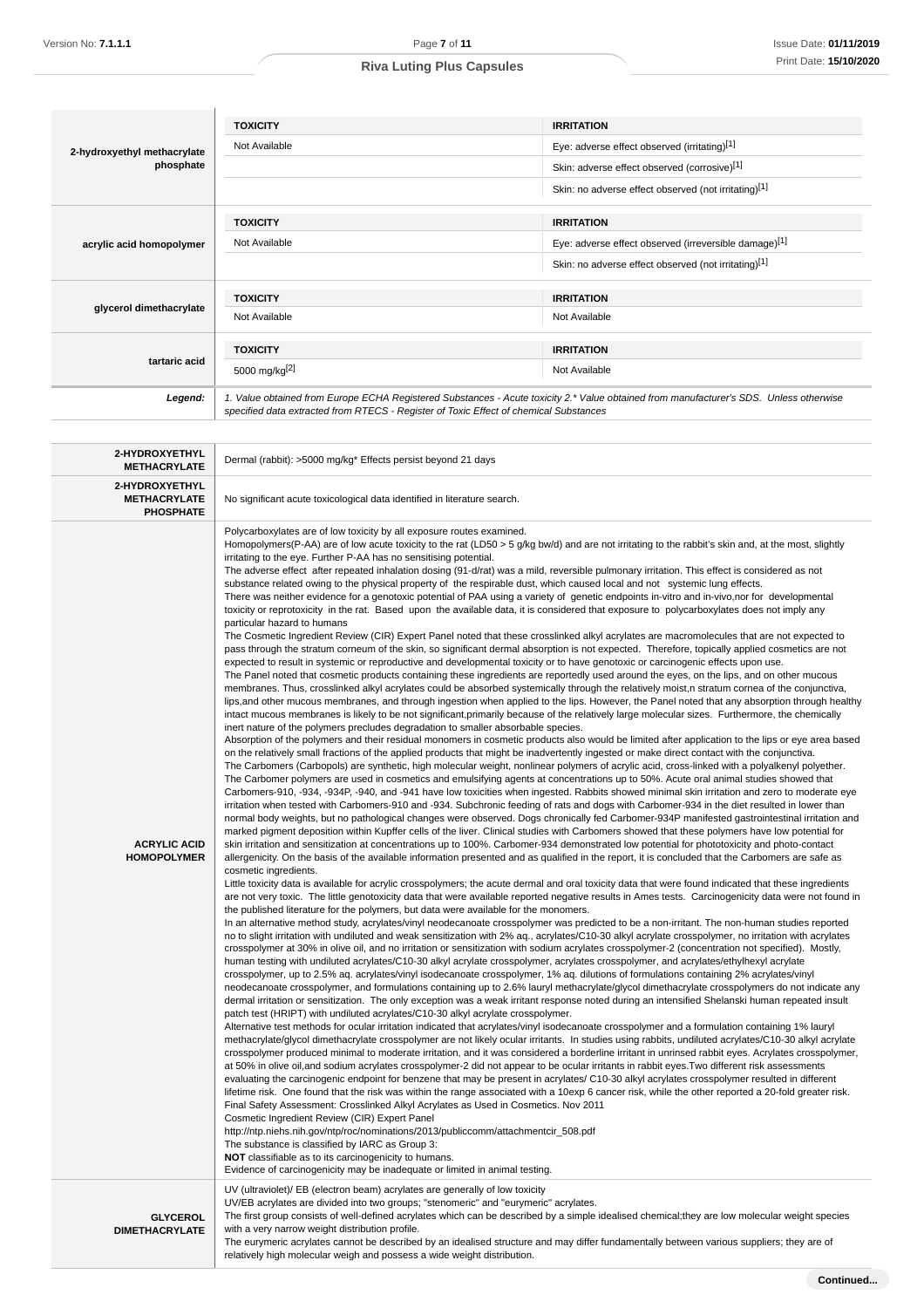|                                                           | <b>TOXICITY</b>                                                                                                                                                                                                                                                                                                                                                                                                                                                                                                                                                                                                                                                                                                                                                                                                                                                                                                                                                                                                                                                                                                                                                                                                                                                                                                                                                                                                                                                                                                                                                                                                                                                                                                                                                                                                                                                                                                                                                                                                                                                                                                                                                                                                                                                                                                                                                                                                                                                                                                                                                                                                                                                                                                                                                                                                                                                                                                                                                                                                                                                                                                                                                                                                                                                                                                                                                                                                                                                                                                                                                                                                                                                                                                                                                                                                                                                                                                                                                                                                                                                                                                                                                                                                                                                                                                                                                                                                                                                                                                                                                                                                                                                                                                                                                                                                                                                                                                                                                                                                                                                                                                                                                                                                                                                                                                                                                                                                                                                                                                                                                                                                                                                                                                                                                                                                                                                                           | <b>IRRITATION</b>                                                                                                                      |  |
|-----------------------------------------------------------|-------------------------------------------------------------------------------------------------------------------------------------------------------------------------------------------------------------------------------------------------------------------------------------------------------------------------------------------------------------------------------------------------------------------------------------------------------------------------------------------------------------------------------------------------------------------------------------------------------------------------------------------------------------------------------------------------------------------------------------------------------------------------------------------------------------------------------------------------------------------------------------------------------------------------------------------------------------------------------------------------------------------------------------------------------------------------------------------------------------------------------------------------------------------------------------------------------------------------------------------------------------------------------------------------------------------------------------------------------------------------------------------------------------------------------------------------------------------------------------------------------------------------------------------------------------------------------------------------------------------------------------------------------------------------------------------------------------------------------------------------------------------------------------------------------------------------------------------------------------------------------------------------------------------------------------------------------------------------------------------------------------------------------------------------------------------------------------------------------------------------------------------------------------------------------------------------------------------------------------------------------------------------------------------------------------------------------------------------------------------------------------------------------------------------------------------------------------------------------------------------------------------------------------------------------------------------------------------------------------------------------------------------------------------------------------------------------------------------------------------------------------------------------------------------------------------------------------------------------------------------------------------------------------------------------------------------------------------------------------------------------------------------------------------------------------------------------------------------------------------------------------------------------------------------------------------------------------------------------------------------------------------------------------------------------------------------------------------------------------------------------------------------------------------------------------------------------------------------------------------------------------------------------------------------------------------------------------------------------------------------------------------------------------------------------------------------------------------------------------------------------------------------------------------------------------------------------------------------------------------------------------------------------------------------------------------------------------------------------------------------------------------------------------------------------------------------------------------------------------------------------------------------------------------------------------------------------------------------------------------------------------------------------------------------------------------------------------------------------------------------------------------------------------------------------------------------------------------------------------------------------------------------------------------------------------------------------------------------------------------------------------------------------------------------------------------------------------------------------------------------------------------------------------------------------------------------------------------------------------------------------------------------------------------------------------------------------------------------------------------------------------------------------------------------------------------------------------------------------------------------------------------------------------------------------------------------------------------------------------------------------------------------------------------------------------------------------------------------------------------------------------------------------------------------------------------------------------------------------------------------------------------------------------------------------------------------------------------------------------------------------------------------------------------------------------------------------------------------------------------------------------------------------------------------------------------------------------------------------------------------------------------|----------------------------------------------------------------------------------------------------------------------------------------|--|
| 2-hydroxyethyl methacrylate<br>phosphate                  | Not Available<br>Eye: adverse effect observed (irritating)[1]                                                                                                                                                                                                                                                                                                                                                                                                                                                                                                                                                                                                                                                                                                                                                                                                                                                                                                                                                                                                                                                                                                                                                                                                                                                                                                                                                                                                                                                                                                                                                                                                                                                                                                                                                                                                                                                                                                                                                                                                                                                                                                                                                                                                                                                                                                                                                                                                                                                                                                                                                                                                                                                                                                                                                                                                                                                                                                                                                                                                                                                                                                                                                                                                                                                                                                                                                                                                                                                                                                                                                                                                                                                                                                                                                                                                                                                                                                                                                                                                                                                                                                                                                                                                                                                                                                                                                                                                                                                                                                                                                                                                                                                                                                                                                                                                                                                                                                                                                                                                                                                                                                                                                                                                                                                                                                                                                                                                                                                                                                                                                                                                                                                                                                                                                                                                                             |                                                                                                                                        |  |
|                                                           |                                                                                                                                                                                                                                                                                                                                                                                                                                                                                                                                                                                                                                                                                                                                                                                                                                                                                                                                                                                                                                                                                                                                                                                                                                                                                                                                                                                                                                                                                                                                                                                                                                                                                                                                                                                                                                                                                                                                                                                                                                                                                                                                                                                                                                                                                                                                                                                                                                                                                                                                                                                                                                                                                                                                                                                                                                                                                                                                                                                                                                                                                                                                                                                                                                                                                                                                                                                                                                                                                                                                                                                                                                                                                                                                                                                                                                                                                                                                                                                                                                                                                                                                                                                                                                                                                                                                                                                                                                                                                                                                                                                                                                                                                                                                                                                                                                                                                                                                                                                                                                                                                                                                                                                                                                                                                                                                                                                                                                                                                                                                                                                                                                                                                                                                                                                                                                                                                           | Skin: adverse effect observed (corrosive)[1]                                                                                           |  |
|                                                           |                                                                                                                                                                                                                                                                                                                                                                                                                                                                                                                                                                                                                                                                                                                                                                                                                                                                                                                                                                                                                                                                                                                                                                                                                                                                                                                                                                                                                                                                                                                                                                                                                                                                                                                                                                                                                                                                                                                                                                                                                                                                                                                                                                                                                                                                                                                                                                                                                                                                                                                                                                                                                                                                                                                                                                                                                                                                                                                                                                                                                                                                                                                                                                                                                                                                                                                                                                                                                                                                                                                                                                                                                                                                                                                                                                                                                                                                                                                                                                                                                                                                                                                                                                                                                                                                                                                                                                                                                                                                                                                                                                                                                                                                                                                                                                                                                                                                                                                                                                                                                                                                                                                                                                                                                                                                                                                                                                                                                                                                                                                                                                                                                                                                                                                                                                                                                                                                                           | Skin: no adverse effect observed (not irritating)[1]                                                                                   |  |
|                                                           | <b>TOXICITY</b>                                                                                                                                                                                                                                                                                                                                                                                                                                                                                                                                                                                                                                                                                                                                                                                                                                                                                                                                                                                                                                                                                                                                                                                                                                                                                                                                                                                                                                                                                                                                                                                                                                                                                                                                                                                                                                                                                                                                                                                                                                                                                                                                                                                                                                                                                                                                                                                                                                                                                                                                                                                                                                                                                                                                                                                                                                                                                                                                                                                                                                                                                                                                                                                                                                                                                                                                                                                                                                                                                                                                                                                                                                                                                                                                                                                                                                                                                                                                                                                                                                                                                                                                                                                                                                                                                                                                                                                                                                                                                                                                                                                                                                                                                                                                                                                                                                                                                                                                                                                                                                                                                                                                                                                                                                                                                                                                                                                                                                                                                                                                                                                                                                                                                                                                                                                                                                                                           | <b>IRRITATION</b>                                                                                                                      |  |
| acrylic acid homopolymer                                  | Not Available                                                                                                                                                                                                                                                                                                                                                                                                                                                                                                                                                                                                                                                                                                                                                                                                                                                                                                                                                                                                                                                                                                                                                                                                                                                                                                                                                                                                                                                                                                                                                                                                                                                                                                                                                                                                                                                                                                                                                                                                                                                                                                                                                                                                                                                                                                                                                                                                                                                                                                                                                                                                                                                                                                                                                                                                                                                                                                                                                                                                                                                                                                                                                                                                                                                                                                                                                                                                                                                                                                                                                                                                                                                                                                                                                                                                                                                                                                                                                                                                                                                                                                                                                                                                                                                                                                                                                                                                                                                                                                                                                                                                                                                                                                                                                                                                                                                                                                                                                                                                                                                                                                                                                                                                                                                                                                                                                                                                                                                                                                                                                                                                                                                                                                                                                                                                                                                                             | Eye: adverse effect observed (irreversible damage)[1]                                                                                  |  |
|                                                           |                                                                                                                                                                                                                                                                                                                                                                                                                                                                                                                                                                                                                                                                                                                                                                                                                                                                                                                                                                                                                                                                                                                                                                                                                                                                                                                                                                                                                                                                                                                                                                                                                                                                                                                                                                                                                                                                                                                                                                                                                                                                                                                                                                                                                                                                                                                                                                                                                                                                                                                                                                                                                                                                                                                                                                                                                                                                                                                                                                                                                                                                                                                                                                                                                                                                                                                                                                                                                                                                                                                                                                                                                                                                                                                                                                                                                                                                                                                                                                                                                                                                                                                                                                                                                                                                                                                                                                                                                                                                                                                                                                                                                                                                                                                                                                                                                                                                                                                                                                                                                                                                                                                                                                                                                                                                                                                                                                                                                                                                                                                                                                                                                                                                                                                                                                                                                                                                                           | Skin: no adverse effect observed (not irritating)[1]                                                                                   |  |
|                                                           |                                                                                                                                                                                                                                                                                                                                                                                                                                                                                                                                                                                                                                                                                                                                                                                                                                                                                                                                                                                                                                                                                                                                                                                                                                                                                                                                                                                                                                                                                                                                                                                                                                                                                                                                                                                                                                                                                                                                                                                                                                                                                                                                                                                                                                                                                                                                                                                                                                                                                                                                                                                                                                                                                                                                                                                                                                                                                                                                                                                                                                                                                                                                                                                                                                                                                                                                                                                                                                                                                                                                                                                                                                                                                                                                                                                                                                                                                                                                                                                                                                                                                                                                                                                                                                                                                                                                                                                                                                                                                                                                                                                                                                                                                                                                                                                                                                                                                                                                                                                                                                                                                                                                                                                                                                                                                                                                                                                                                                                                                                                                                                                                                                                                                                                                                                                                                                                                                           |                                                                                                                                        |  |
| glycerol dimethacrylate                                   | <b>TOXICITY</b>                                                                                                                                                                                                                                                                                                                                                                                                                                                                                                                                                                                                                                                                                                                                                                                                                                                                                                                                                                                                                                                                                                                                                                                                                                                                                                                                                                                                                                                                                                                                                                                                                                                                                                                                                                                                                                                                                                                                                                                                                                                                                                                                                                                                                                                                                                                                                                                                                                                                                                                                                                                                                                                                                                                                                                                                                                                                                                                                                                                                                                                                                                                                                                                                                                                                                                                                                                                                                                                                                                                                                                                                                                                                                                                                                                                                                                                                                                                                                                                                                                                                                                                                                                                                                                                                                                                                                                                                                                                                                                                                                                                                                                                                                                                                                                                                                                                                                                                                                                                                                                                                                                                                                                                                                                                                                                                                                                                                                                                                                                                                                                                                                                                                                                                                                                                                                                                                           | <b>IRRITATION</b>                                                                                                                      |  |
|                                                           | Not Available                                                                                                                                                                                                                                                                                                                                                                                                                                                                                                                                                                                                                                                                                                                                                                                                                                                                                                                                                                                                                                                                                                                                                                                                                                                                                                                                                                                                                                                                                                                                                                                                                                                                                                                                                                                                                                                                                                                                                                                                                                                                                                                                                                                                                                                                                                                                                                                                                                                                                                                                                                                                                                                                                                                                                                                                                                                                                                                                                                                                                                                                                                                                                                                                                                                                                                                                                                                                                                                                                                                                                                                                                                                                                                                                                                                                                                                                                                                                                                                                                                                                                                                                                                                                                                                                                                                                                                                                                                                                                                                                                                                                                                                                                                                                                                                                                                                                                                                                                                                                                                                                                                                                                                                                                                                                                                                                                                                                                                                                                                                                                                                                                                                                                                                                                                                                                                                                             | Not Available                                                                                                                          |  |
|                                                           | <b>TOXICITY</b>                                                                                                                                                                                                                                                                                                                                                                                                                                                                                                                                                                                                                                                                                                                                                                                                                                                                                                                                                                                                                                                                                                                                                                                                                                                                                                                                                                                                                                                                                                                                                                                                                                                                                                                                                                                                                                                                                                                                                                                                                                                                                                                                                                                                                                                                                                                                                                                                                                                                                                                                                                                                                                                                                                                                                                                                                                                                                                                                                                                                                                                                                                                                                                                                                                                                                                                                                                                                                                                                                                                                                                                                                                                                                                                                                                                                                                                                                                                                                                                                                                                                                                                                                                                                                                                                                                                                                                                                                                                                                                                                                                                                                                                                                                                                                                                                                                                                                                                                                                                                                                                                                                                                                                                                                                                                                                                                                                                                                                                                                                                                                                                                                                                                                                                                                                                                                                                                           | <b>IRRITATION</b>                                                                                                                      |  |
| tartaric acid                                             | 5000 mg/kg[2]                                                                                                                                                                                                                                                                                                                                                                                                                                                                                                                                                                                                                                                                                                                                                                                                                                                                                                                                                                                                                                                                                                                                                                                                                                                                                                                                                                                                                                                                                                                                                                                                                                                                                                                                                                                                                                                                                                                                                                                                                                                                                                                                                                                                                                                                                                                                                                                                                                                                                                                                                                                                                                                                                                                                                                                                                                                                                                                                                                                                                                                                                                                                                                                                                                                                                                                                                                                                                                                                                                                                                                                                                                                                                                                                                                                                                                                                                                                                                                                                                                                                                                                                                                                                                                                                                                                                                                                                                                                                                                                                                                                                                                                                                                                                                                                                                                                                                                                                                                                                                                                                                                                                                                                                                                                                                                                                                                                                                                                                                                                                                                                                                                                                                                                                                                                                                                                                             | Not Available                                                                                                                          |  |
| Legend:                                                   | specified data extracted from RTECS - Register of Toxic Effect of chemical Substances                                                                                                                                                                                                                                                                                                                                                                                                                                                                                                                                                                                                                                                                                                                                                                                                                                                                                                                                                                                                                                                                                                                                                                                                                                                                                                                                                                                                                                                                                                                                                                                                                                                                                                                                                                                                                                                                                                                                                                                                                                                                                                                                                                                                                                                                                                                                                                                                                                                                                                                                                                                                                                                                                                                                                                                                                                                                                                                                                                                                                                                                                                                                                                                                                                                                                                                                                                                                                                                                                                                                                                                                                                                                                                                                                                                                                                                                                                                                                                                                                                                                                                                                                                                                                                                                                                                                                                                                                                                                                                                                                                                                                                                                                                                                                                                                                                                                                                                                                                                                                                                                                                                                                                                                                                                                                                                                                                                                                                                                                                                                                                                                                                                                                                                                                                                                     | 1. Value obtained from Europe ECHA Registered Substances - Acute toxicity 2.* Value obtained from manufacturer's SDS. Unless otherwise |  |
| 2-HYDROXYETHYL<br><b>METHACRYLATE</b>                     | Dermal (rabbit): >5000 mg/kg* Effects persist beyond 21 days                                                                                                                                                                                                                                                                                                                                                                                                                                                                                                                                                                                                                                                                                                                                                                                                                                                                                                                                                                                                                                                                                                                                                                                                                                                                                                                                                                                                                                                                                                                                                                                                                                                                                                                                                                                                                                                                                                                                                                                                                                                                                                                                                                                                                                                                                                                                                                                                                                                                                                                                                                                                                                                                                                                                                                                                                                                                                                                                                                                                                                                                                                                                                                                                                                                                                                                                                                                                                                                                                                                                                                                                                                                                                                                                                                                                                                                                                                                                                                                                                                                                                                                                                                                                                                                                                                                                                                                                                                                                                                                                                                                                                                                                                                                                                                                                                                                                                                                                                                                                                                                                                                                                                                                                                                                                                                                                                                                                                                                                                                                                                                                                                                                                                                                                                                                                                              |                                                                                                                                        |  |
| 2-HYDROXYETHYL<br><b>METHACRYLATE</b><br><b>PHOSPHATE</b> | No significant acute toxicological data identified in literature search.                                                                                                                                                                                                                                                                                                                                                                                                                                                                                                                                                                                                                                                                                                                                                                                                                                                                                                                                                                                                                                                                                                                                                                                                                                                                                                                                                                                                                                                                                                                                                                                                                                                                                                                                                                                                                                                                                                                                                                                                                                                                                                                                                                                                                                                                                                                                                                                                                                                                                                                                                                                                                                                                                                                                                                                                                                                                                                                                                                                                                                                                                                                                                                                                                                                                                                                                                                                                                                                                                                                                                                                                                                                                                                                                                                                                                                                                                                                                                                                                                                                                                                                                                                                                                                                                                                                                                                                                                                                                                                                                                                                                                                                                                                                                                                                                                                                                                                                                                                                                                                                                                                                                                                                                                                                                                                                                                                                                                                                                                                                                                                                                                                                                                                                                                                                                                  |                                                                                                                                        |  |
| <b>ACRYLIC ACID</b><br><b>HOMOPOLYMER</b>                 | Polycarboxylates are of low toxicity by all exposure routes examined.<br>Homopolymers(P-AA) are of low acute toxicity to the rat (LD50 > 5 g/kg bw/d) and are not irritating to the rabbit's skin and, at the most, slightly<br>irritating to the eye. Further P-AA has no sensitising potential.<br>The adverse effect after repeated inhalation dosing (91-d/rat) was a mild, reversible pulmonary irritation. This effect is considered as not<br>substance related owing to the physical property of the respirable dust, which caused local and not systemic lung effects.<br>There was neither evidence for a genotoxic potential of PAA using a variety of genetic endpoints in-vitro and in-vivo, nor for developmental<br>toxicity or reprotoxicity in the rat. Based upon the available data, it is considered that exposure to polycarboxylates does not imply any<br>particular hazard to humans<br>The Cosmetic Ingredient Review (CIR) Expert Panel noted that these crosslinked alkyl acrylates are macromolecules that are not expected to<br>pass through the stratum corneum of the skin, so significant dermal absorption is not expected. Therefore, topically applied cosmetics are not<br>expected to result in systemic or reproductive and developmental toxicity or to have genotoxic or carcinogenic effects upon use.<br>The Panel noted that cosmetic products containing these ingredients are reportedly used around the eyes, on the lips, and on other mucous<br>membranes. Thus, crosslinked alkyl acrylates could be absorbed systemically through the relatively moist, n stratum cornea of the conjunctiva,<br>lips, and other mucous membranes, and through ingestion when applied to the lips. However, the Panel noted that any absorption through healthy<br>intact mucous membranes is likely to be not significant, primarily because of the relatively large molecular sizes. Furthermore, the chemically<br>inert nature of the polymers precludes degradation to smaller absorbable species.<br>Absorption of the polymers and their residual monomers in cosmetic products also would be limited after application to the lips or eye area based<br>on the relatively small fractions of the applied products that might be inadvertently ingested or make direct contact with the conjunctiva.<br>The Carbomers (Carbopols) are synthetic, high molecular weight, nonlinear polymers of acrylic acid, cross-linked with a polyalkenyl polyether.<br>The Carbomer polymers are used in cosmetics and emulsifying agents at concentrations up to 50%. Acute oral animal studies showed that<br>Carbomers-910, -934, -934P, -940, and -941 have low toxicities when ingested. Rabbits showed minimal skin irritation and zero to moderate eye<br>irritation when tested with Carbomers-910 and -934. Subchronic feeding of rats and dogs with Carbomer-934 in the diet resulted in lower than<br>normal body weights, but no pathological changes were observed. Dogs chronically fed Carbomer-934P manifested gastrointestinal irritation and<br>marked pigment deposition within Kupffer cells of the liver. Clinical studies with Carbomers showed that these polymers have low potential for<br>skin irritation and sensitization at concentrations up to 100%. Carbomer-934 demonstrated low potential for phototoxicity and photo-contact<br>allergenicity. On the basis of the available information presented and as qualified in the report, it is concluded that the Carbomers are safe as<br>cosmetic ingredients.<br>Little toxicity data is available for acrylic crosspolymers; the acute dermal and oral toxicity data that were found indicated that these ingredients<br>are not very toxic. The little genotoxicity data that were available reported negative results in Ames tests. Carcinogenicity data were not found in<br>the published literature for the polymers, but data were available for the monomers.<br>In an alternative method study, acrylates/vinyl neodecanoate crosspolymer was predicted to be a non-irritant. The non-human studies reported<br>no to slight irritation with undiluted and weak sensitization with 2% aq., acrylates/C10-30 alkyl acrylate crosspolymer, no irritation with acrylates<br>crosspolymer at 30% in olive oil, and no irritation or sensitization with sodium acrylates crosspolymer-2 (concentration not specified). Mostly,<br>human testing with undiluted acrylates/C10-30 alkyl acrylate crosspolymer, acrylates crosspolymer, and acrylates/ethylhexyl acrylate<br>crosspolymer, up to 2.5% ag. acrylates/vinyl isodecanoate crosspolymer, 1% ag. dilutions of formulations containing 2% acrylates/vinyl<br>neodecanoate crosspolymer, and formulations containing up to 2.6% lauryl methacrylate/glycol dimethacrylate crosspolymers do not indicate any<br>dermal irritation or sensitization. The only exception was a weak irritant response noted during an intensified Shelanski human repeated insult<br>patch test (HRIPT) with undiluted acrylates/C10-30 alkyl acrylate crosspolymer.<br>Alternative test methods for ocular irritation indicated that acrylates/vinyl isodecanoate crosspolymer and a formulation containing 1% lauryl<br>methacrylate/glycol dimethacrylate crosspolymer are not likely ocular irritants. In studies using rabbits, undiluted acrylates/C10-30 alkyl acrylate<br>crosspolymer produced minimal to moderate irritation, and it was considered a borderline irritant in unrinsed rabbit eyes. Acrylates crosspolymer,<br>at 50% in olive oil, and sodium acrylates crosspolymer-2 did not appear to be ocular irritants in rabbit eyes. Two different risk assessments<br>evaluating the carcinogenic endpoint for benzene that may be present in acrylates/ C10-30 alkyl acrylates crosspolymer resulted in different |                                                                                                                                        |  |

Cosmetic Ingredient Review (CIR) Expert Panel

http://ntp.niehs.nih.gov/ntp/roc/nominations/2013/publiccomm/attachmentcir\_508.pdf

The substance is classified by IARC as Group 3: **NOT** classifiable as to its carcinogenicity to humans.

Evidence of carcinogenicity may be inadequate or limited in animal testing.

UV (ultraviolet)/ EB (electron beam) acrylates are generally of low toxicity

UV/EB acrylates are divided into two groups; "stenomeric" and "eurymeric" acrylates.

**GLYCEROL DIMETHACRYLATE**

The first group consists of well-defined acrylates which can be described by a simple idealised chemical;they are low molecular weight species with a very narrow weight distribution profile. The eurymeric acrylates cannot be described by an idealised structure and may differ fundamentally between various suppliers; they are of relatively high molecular weigh and possess a wide weight distribution.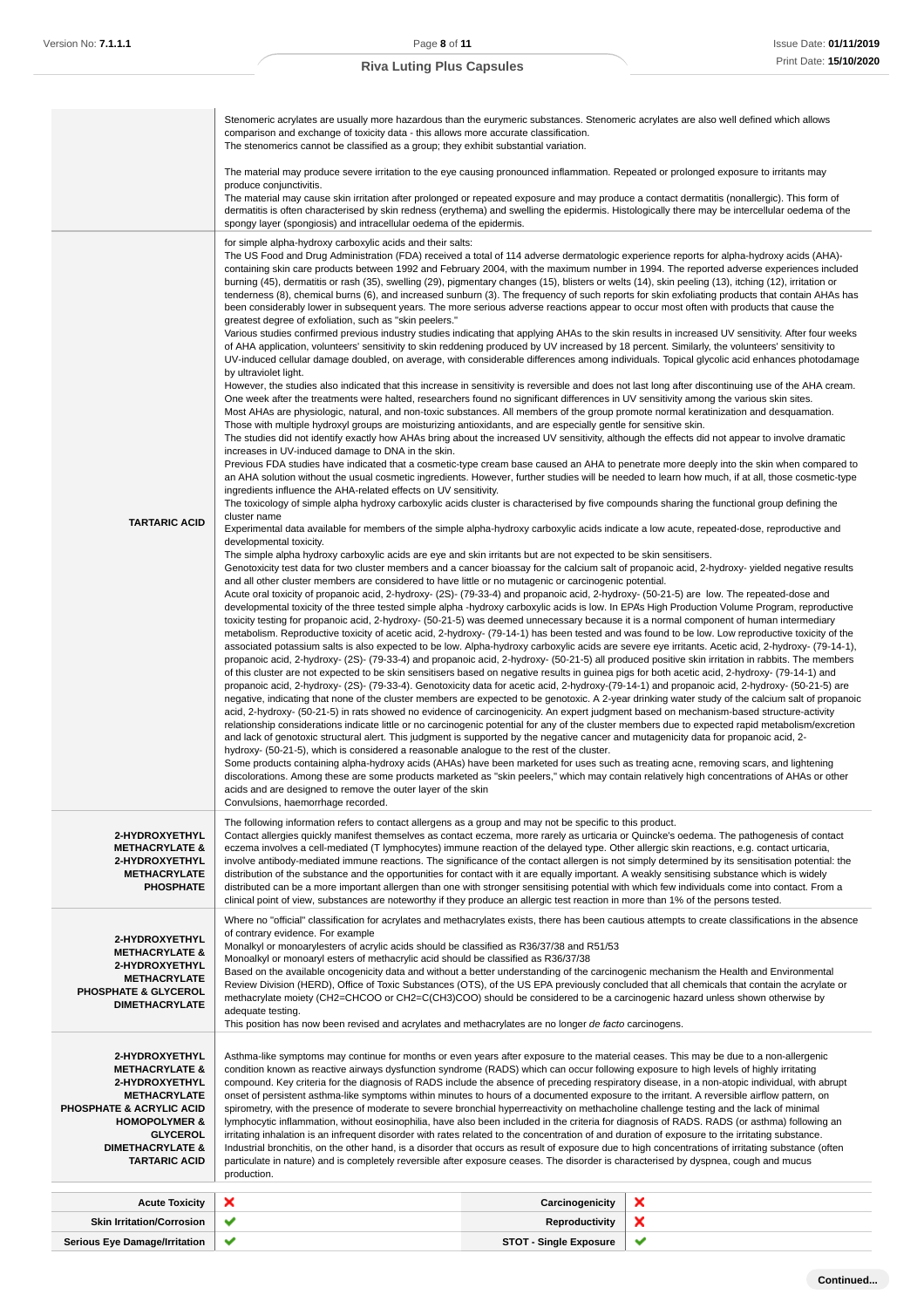|                                                                                                                                                                                                                                   | Stenomeric acrylates are usually more hazardous than the eurymeric substances. Stenomeric acrylates are also well defined which allows<br>comparison and exchange of toxicity data - this allows more accurate classification.<br>The stenomerics cannot be classified as a group; they exhibit substantial variation.                                                                                                                                                                                                                                                                                                                                                                                                                                                                                                                                                                                                                                                                                                                                                                                                                                                                                                                                                                                                                                                                                                                                                                                                                                                                                                                                                                                                                                                                                                                                                                                                                                                                                                                                                                                                                                                                                                                                                                                                                                                                                                                                                                                                                                                                                                                                                                                                                                                                                                                                                                                                                                                                                                                                                                                                                                                                                                                                                                                                                                                                                                                                                                                                                                                                                                                                                                                                                                                                                                                                                                                                                                                                                                                                                                                                                                                                                                                                                                                                                                                                                                                                                                                                                                                                                                                                                                                                                                                                                                                                                                                                                                                                                                                                                                                                                                                                                                                                                                                                                                                                                                                                                                                    |                               |   |
|-----------------------------------------------------------------------------------------------------------------------------------------------------------------------------------------------------------------------------------|-----------------------------------------------------------------------------------------------------------------------------------------------------------------------------------------------------------------------------------------------------------------------------------------------------------------------------------------------------------------------------------------------------------------------------------------------------------------------------------------------------------------------------------------------------------------------------------------------------------------------------------------------------------------------------------------------------------------------------------------------------------------------------------------------------------------------------------------------------------------------------------------------------------------------------------------------------------------------------------------------------------------------------------------------------------------------------------------------------------------------------------------------------------------------------------------------------------------------------------------------------------------------------------------------------------------------------------------------------------------------------------------------------------------------------------------------------------------------------------------------------------------------------------------------------------------------------------------------------------------------------------------------------------------------------------------------------------------------------------------------------------------------------------------------------------------------------------------------------------------------------------------------------------------------------------------------------------------------------------------------------------------------------------------------------------------------------------------------------------------------------------------------------------------------------------------------------------------------------------------------------------------------------------------------------------------------------------------------------------------------------------------------------------------------------------------------------------------------------------------------------------------------------------------------------------------------------------------------------------------------------------------------------------------------------------------------------------------------------------------------------------------------------------------------------------------------------------------------------------------------------------------------------------------------------------------------------------------------------------------------------------------------------------------------------------------------------------------------------------------------------------------------------------------------------------------------------------------------------------------------------------------------------------------------------------------------------------------------------------------------------------------------------------------------------------------------------------------------------------------------------------------------------------------------------------------------------------------------------------------------------------------------------------------------------------------------------------------------------------------------------------------------------------------------------------------------------------------------------------------------------------------------------------------------------------------------------------------------------------------------------------------------------------------------------------------------------------------------------------------------------------------------------------------------------------------------------------------------------------------------------------------------------------------------------------------------------------------------------------------------------------------------------------------------------------------------------------------------------------------------------------------------------------------------------------------------------------------------------------------------------------------------------------------------------------------------------------------------------------------------------------------------------------------------------------------------------------------------------------------------------------------------------------------------------------------------------------------------------------------------------------------------------------------------------------------------------------------------------------------------------------------------------------------------------------------------------------------------------------------------------------------------------------------------------------------------------------------------------------------------------------------------------------------------------------------------------------------------------------------------------------|-------------------------------|---|
|                                                                                                                                                                                                                                   | The material may produce severe irritation to the eye causing pronounced inflammation. Repeated or prolonged exposure to irritants may<br>produce conjunctivitis.<br>The material may cause skin irritation after prolonged or repeated exposure and may produce a contact dermatitis (nonallergic). This form of<br>dermatitis is often characterised by skin redness (erythema) and swelling the epidermis. Histologically there may be intercellular oedema of the<br>spongy layer (spongiosis) and intracellular oedema of the epidermis.                                                                                                                                                                                                                                                                                                                                                                                                                                                                                                                                                                                                                                                                                                                                                                                                                                                                                                                                                                                                                                                                                                                                                                                                                                                                                                                                                                                                                                                                                                                                                                                                                                                                                                                                                                                                                                                                                                                                                                                                                                                                                                                                                                                                                                                                                                                                                                                                                                                                                                                                                                                                                                                                                                                                                                                                                                                                                                                                                                                                                                                                                                                                                                                                                                                                                                                                                                                                                                                                                                                                                                                                                                                                                                                                                                                                                                                                                                                                                                                                                                                                                                                                                                                                                                                                                                                                                                                                                                                                                                                                                                                                                                                                                                                                                                                                                                                                                                                                                             |                               |   |
| <b>TARTARIC ACID</b>                                                                                                                                                                                                              | for simple alpha-hydroxy carboxylic acids and their salts:<br>The US Food and Drug Administration (FDA) received a total of 114 adverse dermatologic experience reports for alpha-hydroxy acids (AHA)-<br>containing skin care products between 1992 and February 2004, with the maximum number in 1994. The reported adverse experiences included<br>burning (45), dermatitis or rash (35), swelling (29), pigmentary changes (15), blisters or welts (14), skin peeling (13), itching (12), irritation or<br>tenderness (8), chemical burns (6), and increased sunburn (3). The frequency of such reports for skin exfoliating products that contain AHAs has<br>been considerably lower in subsequent years. The more serious adverse reactions appear to occur most often with products that cause the<br>greatest degree of exfoliation, such as "skin peelers."<br>Various studies confirmed previous industry studies indicating that applying AHAs to the skin results in increased UV sensitivity. After four weeks<br>of AHA application, volunteers' sensitivity to skin reddening produced by UV increased by 18 percent. Similarly, the volunteers' sensitivity to<br>UV-induced cellular damage doubled, on average, with considerable differences among individuals. Topical glycolic acid enhances photodamage<br>by ultraviolet light.<br>However, the studies also indicated that this increase in sensitivity is reversible and does not last long after discontinuing use of the AHA cream.<br>One week after the treatments were halted, researchers found no significant differences in UV sensitivity among the various skin sites.<br>Most AHAs are physiologic, natural, and non-toxic substances. All members of the group promote normal keratinization and desquamation.<br>Those with multiple hydroxyl groups are moisturizing antioxidants, and are especially gentle for sensitive skin.<br>The studies did not identify exactly how AHAs bring about the increased UV sensitivity, although the effects did not appear to involve dramatic<br>increases in UV-induced damage to DNA in the skin.<br>Previous FDA studies have indicated that a cosmetic-type cream base caused an AHA to penetrate more deeply into the skin when compared to<br>an AHA solution without the usual cosmetic ingredients. However, further studies will be needed to learn how much, if at all, those cosmetic-type<br>ingredients influence the AHA-related effects on UV sensitivity.<br>The toxicology of simple alpha hydroxy carboxylic acids cluster is characterised by five compounds sharing the functional group defining the<br>cluster name<br>Experimental data available for members of the simple alpha-hydroxy carboxylic acids indicate a low acute, repeated-dose, reproductive and<br>developmental toxicity.<br>The simple alpha hydroxy carboxylic acids are eye and skin irritants but are not expected to be skin sensitisers.<br>Genotoxicity test data for two cluster members and a cancer bioassay for the calcium salt of propanoic acid, 2-hydroxy-yielded negative results<br>and all other cluster members are considered to have little or no mutagenic or carcinogenic potential.<br>Acute oral toxicity of propanoic acid, 2-hydroxy- (2S)- (79-33-4) and propanoic acid, 2-hydroxy- (50-21-5) are low. The repeated-dose and<br>developmental toxicity of the three tested simple alpha -hydroxy carboxylic acids is low. In EPA's High Production Volume Program, reproductive<br>toxicity testing for propanoic acid, 2-hydroxy- (50-21-5) was deemed unnecessary because it is a normal component of human intermediary<br>metabolism. Reproductive toxicity of acetic acid, 2-hydroxy- (79-14-1) has been tested and was found to be low. Low reproductive toxicity of the<br>associated potassium salts is also expected to be low. Alpha-hydroxy carboxylic acids are severe eye irritants. Acetic acid, 2-hydroxy- (79-14-1),<br>propanoic acid, 2-hydroxy- (2S)- (79-33-4) and propanoic acid, 2-hydroxy- (50-21-5) all produced positive skin irritation in rabbits. The members<br>of this cluster are not expected to be skin sensitisers based on negative results in guinea pigs for both acetic acid, 2-hydroxy- (79-14-1) and<br>propanoic acid, 2-hydroxy- (2S)- (79-33-4). Genotoxicity data for acetic acid, 2-hydroxy-(79-14-1) and propanoic acid, 2-hydroxy- (50-21-5) are<br>negative, indicating that none of the cluster members are expected to be genotoxic. A 2-year drinking water study of the calcium salt of propanoic<br>acid, 2-hydroxy- (50-21-5) in rats showed no evidence of carcinogenicity. An expert judgment based on mechanism-based structure-activity<br>relationship considerations indicate little or no carcinogenic potential for any of the cluster members due to expected rapid metabolism/excretion<br>and lack of genotoxic structural alert. This judgment is supported by the negative cancer and mutagenicity data for propanoic acid, 2-<br>hydroxy- (50-21-5), which is considered a reasonable analogue to the rest of the cluster.<br>Some products containing alpha-hydroxy acids (AHAs) have been marketed for uses such as treating acne, removing scars, and lightening<br>discolorations. Among these are some products marketed as "skin peelers," which may contain relatively high concentrations of AHAs or other<br>acids and are designed to remove the outer layer of the skin |                               |   |
| 2-HYDROXYETHYL<br><b>METHACRYLATE &amp;</b><br>2-HYDROXYETHYL<br><b>METHACRYLATE</b><br><b>PHOSPHATE</b>                                                                                                                          | The following information refers to contact allergens as a group and may not be specific to this product.<br>Contact allergies quickly manifest themselves as contact eczema, more rarely as urticaria or Quincke's oedema. The pathogenesis of contact<br>eczema involves a cell-mediated (T lymphocytes) immune reaction of the delayed type. Other allergic skin reactions, e.g. contact urticaria,<br>involve antibody-mediated immune reactions. The significance of the contact allergen is not simply determined by its sensitisation potential: the<br>distribution of the substance and the opportunities for contact with it are equally important. A weakly sensitising substance which is widely<br>distributed can be a more important allergen than one with stronger sensitising potential with which few individuals come into contact. From a<br>clinical point of view, substances are noteworthy if they produce an allergic test reaction in more than 1% of the persons tested.                                                                                                                                                                                                                                                                                                                                                                                                                                                                                                                                                                                                                                                                                                                                                                                                                                                                                                                                                                                                                                                                                                                                                                                                                                                                                                                                                                                                                                                                                                                                                                                                                                                                                                                                                                                                                                                                                                                                                                                                                                                                                                                                                                                                                                                                                                                                                                                                                                                                                                                                                                                                                                                                                                                                                                                                                                                                                                                                                                                                                                                                                                                                                                                                                                                                                                                                                                                                                                                                                                                                                                                                                                                                                                                                                                                                                                                                                                                                                                                                                                                                                                                                                                                                                                                                                                                                                                                                                                                                                                      |                               |   |
| 2-HYDROXYETHYL<br><b>METHACRYLATE &amp;</b><br>2-HYDROXYETHYL<br><b>METHACRYLATE</b><br><b>PHOSPHATE &amp; GLYCEROL</b><br><b>DIMETHACRYLATE</b>                                                                                  | Where no "official" classification for acrylates and methacrylates exists, there has been cautious attempts to create classifications in the absence<br>of contrary evidence. For example<br>Monalkyl or monoarylesters of acrylic acids should be classified as R36/37/38 and R51/53<br>Monoalkyl or monoaryl esters of methacrylic acid should be classified as R36/37/38<br>Based on the available oncogenicity data and without a better understanding of the carcinogenic mechanism the Health and Environmental<br>Review Division (HERD), Office of Toxic Substances (OTS), of the US EPA previously concluded that all chemicals that contain the acrylate or<br>methacrylate moiety (CH2=CHCOO or CH2=C(CH3)COO) should be considered to be a carcinogenic hazard unless shown otherwise by<br>adequate testing.<br>This position has now been revised and acrylates and methacrylates are no longer de facto carcinogens.                                                                                                                                                                                                                                                                                                                                                                                                                                                                                                                                                                                                                                                                                                                                                                                                                                                                                                                                                                                                                                                                                                                                                                                                                                                                                                                                                                                                                                                                                                                                                                                                                                                                                                                                                                                                                                                                                                                                                                                                                                                                                                                                                                                                                                                                                                                                                                                                                                                                                                                                                                                                                                                                                                                                                                                                                                                                                                                                                                                                                                                                                                                                                                                                                                                                                                                                                                                                                                                                                                                                                                                                                                                                                                                                                                                                                                                                                                                                                                                                                                                                                                                                                                                                                                                                                                                                                                                                                                                                                                                                                                       |                               |   |
| 2-HYDROXYETHYL<br><b>METHACRYLATE &amp;</b><br>2-HYDROXYETHYL<br><b>METHACRYLATE</b><br><b>PHOSPHATE &amp; ACRYLIC ACID</b><br><b>HOMOPOLYMER &amp;</b><br><b>GLYCEROL</b><br><b>DIMETHACRYLATE &amp;</b><br><b>TARTARIC ACID</b> | Asthma-like symptoms may continue for months or even years after exposure to the material ceases. This may be due to a non-allergenic<br>condition known as reactive airways dysfunction syndrome (RADS) which can occur following exposure to high levels of highly irritating<br>compound. Key criteria for the diagnosis of RADS include the absence of preceding respiratory disease, in a non-atopic individual, with abrupt<br>onset of persistent asthma-like symptoms within minutes to hours of a documented exposure to the irritant. A reversible airflow pattern, on<br>spirometry, with the presence of moderate to severe bronchial hyperreactivity on methacholine challenge testing and the lack of minimal<br>lymphocytic inflammation, without eosinophilia, have also been included in the criteria for diagnosis of RADS. RADS (or asthma) following an<br>irritating inhalation is an infrequent disorder with rates related to the concentration of and duration of exposure to the irritating substance.<br>Industrial bronchitis, on the other hand, is a disorder that occurs as result of exposure due to high concentrations of irritating substance (often<br>particulate in nature) and is completely reversible after exposure ceases. The disorder is characterised by dyspnea, cough and mucus<br>production.                                                                                                                                                                                                                                                                                                                                                                                                                                                                                                                                                                                                                                                                                                                                                                                                                                                                                                                                                                                                                                                                                                                                                                                                                                                                                                                                                                                                                                                                                                                                                                                                                                                                                                                                                                                                                                                                                                                                                                                                                                                                                                                                                                                                                                                                                                                                                                                                                                                                                                                                                                                                                                                                                                                                                                                                                                                                                                                                                                                                                                                                                                                                                                                                                                                                                                                                                                                                                                                                                                                                                                                                                                                                                                                                                                                                                                                                                                                                                                                                                                                                                                                                                             |                               |   |
| <b>Acute Toxicity</b>                                                                                                                                                                                                             | ×                                                                                                                                                                                                                                                                                                                                                                                                                                                                                                                                                                                                                                                                                                                                                                                                                                                                                                                                                                                                                                                                                                                                                                                                                                                                                                                                                                                                                                                                                                                                                                                                                                                                                                                                                                                                                                                                                                                                                                                                                                                                                                                                                                                                                                                                                                                                                                                                                                                                                                                                                                                                                                                                                                                                                                                                                                                                                                                                                                                                                                                                                                                                                                                                                                                                                                                                                                                                                                                                                                                                                                                                                                                                                                                                                                                                                                                                                                                                                                                                                                                                                                                                                                                                                                                                                                                                                                                                                                                                                                                                                                                                                                                                                                                                                                                                                                                                                                                                                                                                                                                                                                                                                                                                                                                                                                                                                                                                                                                                                                         | Carcinogenicity               | × |
| <b>Skin Irritation/Corrosion</b>                                                                                                                                                                                                  | ✔                                                                                                                                                                                                                                                                                                                                                                                                                                                                                                                                                                                                                                                                                                                                                                                                                                                                                                                                                                                                                                                                                                                                                                                                                                                                                                                                                                                                                                                                                                                                                                                                                                                                                                                                                                                                                                                                                                                                                                                                                                                                                                                                                                                                                                                                                                                                                                                                                                                                                                                                                                                                                                                                                                                                                                                                                                                                                                                                                                                                                                                                                                                                                                                                                                                                                                                                                                                                                                                                                                                                                                                                                                                                                                                                                                                                                                                                                                                                                                                                                                                                                                                                                                                                                                                                                                                                                                                                                                                                                                                                                                                                                                                                                                                                                                                                                                                                                                                                                                                                                                                                                                                                                                                                                                                                                                                                                                                                                                                                                                         | <b>Reproductivity</b>         | × |
| <b>Serious Eye Damage/Irritation</b>                                                                                                                                                                                              |                                                                                                                                                                                                                                                                                                                                                                                                                                                                                                                                                                                                                                                                                                                                                                                                                                                                                                                                                                                                                                                                                                                                                                                                                                                                                                                                                                                                                                                                                                                                                                                                                                                                                                                                                                                                                                                                                                                                                                                                                                                                                                                                                                                                                                                                                                                                                                                                                                                                                                                                                                                                                                                                                                                                                                                                                                                                                                                                                                                                                                                                                                                                                                                                                                                                                                                                                                                                                                                                                                                                                                                                                                                                                                                                                                                                                                                                                                                                                                                                                                                                                                                                                                                                                                                                                                                                                                                                                                                                                                                                                                                                                                                                                                                                                                                                                                                                                                                                                                                                                                                                                                                                                                                                                                                                                                                                                                                                                                                                                                           | <b>STOT - Single Exposure</b> |   |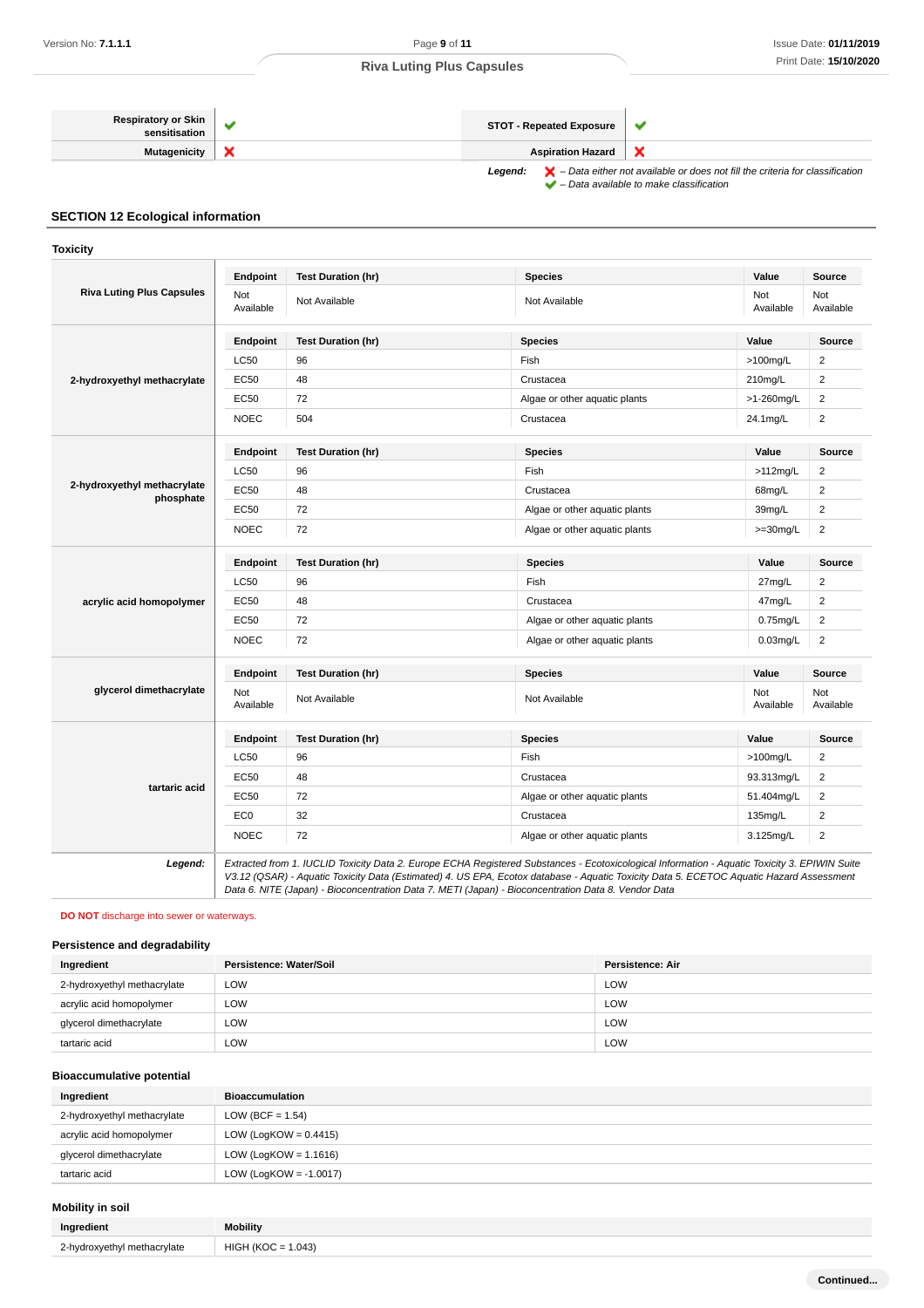| <b>Respiratory or Skin</b><br>sensitisation | <b>STOT - Repeated Exposure</b> |                                                                                                    |
|---------------------------------------------|---------------------------------|----------------------------------------------------------------------------------------------------|
| Mutagenicity                                | <b>Aspiration Hazard</b>        |                                                                                                    |
|                                             | Legend:                         | $\blacktriangleright$ - Data either not available or does not fill the criteria for classification |

– Data available to make classification

# **SECTION 12 Ecological information**

**Toxicity**

| <b>Riva Luting Plus Capsules</b>         | Endpoint         | <b>Test Duration (hr)</b> | <b>Species</b>                | Value            | <b>Source</b>    |
|------------------------------------------|------------------|---------------------------|-------------------------------|------------------|------------------|
|                                          | Not<br>Available | Not Available             | Not Available                 | Not<br>Available | Not<br>Available |
|                                          | Endpoint         | <b>Test Duration (hr)</b> | <b>Species</b>                | Value            | <b>Source</b>    |
|                                          | <b>LC50</b>      | 96                        | Fish                          | $>100$ mg/L      | 2                |
| 2-hydroxyethyl methacrylate              | <b>EC50</b>      | 48                        | Crustacea                     | 210mg/L          | 2                |
|                                          | <b>EC50</b>      | 72                        | Algae or other aquatic plants | >1-260mg/L       | 2                |
|                                          | <b>NOEC</b>      | 504                       | Crustacea                     | 24.1mg/L         | $\overline{c}$   |
|                                          | Endpoint         | <b>Test Duration (hr)</b> | <b>Species</b>                | Value            | Source           |
|                                          | <b>LC50</b>      | 96                        | Fish                          | $>112$ mg/L      | $\overline{2}$   |
| 2-hydroxyethyl methacrylate<br>phosphate | <b>EC50</b>      | 48                        | Crustacea                     | 68mg/L           | $\overline{2}$   |
|                                          | <b>EC50</b>      | 72                        | Algae or other aquatic plants | 39mg/L           | $\overline{2}$   |
|                                          | <b>NOEC</b>      | 72                        | Algae or other aquatic plants | $>=30mg/L$       | $\overline{2}$   |
|                                          | Endpoint         | <b>Test Duration (hr)</b> | <b>Species</b>                | Value            | Source           |
|                                          | <b>LC50</b>      | 96                        | Fish                          | 27mg/L           | 2                |
| acrylic acid homopolymer                 | <b>EC50</b>      | 48                        | Crustacea                     | 47mg/L           | 2                |
|                                          | <b>EC50</b>      | 72                        | Algae or other aquatic plants | $0.75$ mg/L      | $\overline{2}$   |
|                                          | <b>NOEC</b>      | 72                        | Algae or other aquatic plants | $0.03$ mg/L      | 2                |
|                                          | Endpoint         | <b>Test Duration (hr)</b> | <b>Species</b>                | Value            | <b>Source</b>    |
| glycerol dimethacrylate                  | Not<br>Available | Not Available             | Not Available                 | Not<br>Available | Not<br>Available |
|                                          | Endpoint         | <b>Test Duration (hr)</b> | <b>Species</b>                | Value            | <b>Source</b>    |
|                                          | <b>LC50</b>      | 96                        | Fish                          | >100mg/L         | 2                |
|                                          | <b>EC50</b>      | 48                        | Crustacea                     | 93.313mg/L       | 2                |
| tartaric acid                            | <b>EC50</b>      | 72                        | Algae or other aquatic plants | 51.404mg/L       | $\overline{2}$   |
|                                          | EC <sub>0</sub>  | 32                        | Crustacea                     | 135mg/L          | 2                |
|                                          | <b>NOEC</b>      | 72                        | Algae or other aquatic plants | 3.125mg/L        | 2                |

V3.12 (QSAR) - Aquatic Toxicity Data (Estimated) 4. US EPA, Ecotox database - Aquatic Toxicity Data 5. ECETOC Aquatic Hazard Assessment Data 6. NITE (Japan) - Bioconcentration Data 7. METI (Japan) - Bioconcentration Data 8. Vendor Data

#### **DO NOT** discharge into sewer or waterways.

#### **Persistence and degradability**

| Ingredient                  | Persistence: Water/Soil | Persistence: Air |
|-----------------------------|-------------------------|------------------|
| 2-hydroxyethyl methacrylate | LOW                     | LOW              |
| acrylic acid homopolymer    | <b>LOW</b>              | LOW              |
| glycerol dimethacrylate     | LOW                     | LOW              |
| tartaric acid               | LOW                     | LOW              |

#### **Bioaccumulative potential**

| Ingredient                  | <b>Bioaccumulation</b>    |
|-----------------------------|---------------------------|
| 2-hydroxyethyl methacrylate | LOW (BCF = $1.54$ )       |
| acrylic acid homopolymer    | LOW (LogKOW = $0.4415$ )  |
| glycerol dimethacrylate     | LOW (LogKOW = $1.1616$ )  |
| tartaric acid               | LOW (LogKOW = $-1.0017$ ) |

# **Mobility in soil**

| Ingredient                  | <b>Mobility</b>      |
|-----------------------------|----------------------|
| 2-hydroxyethyl methacrylate | $HIGH (KOC = 1.043)$ |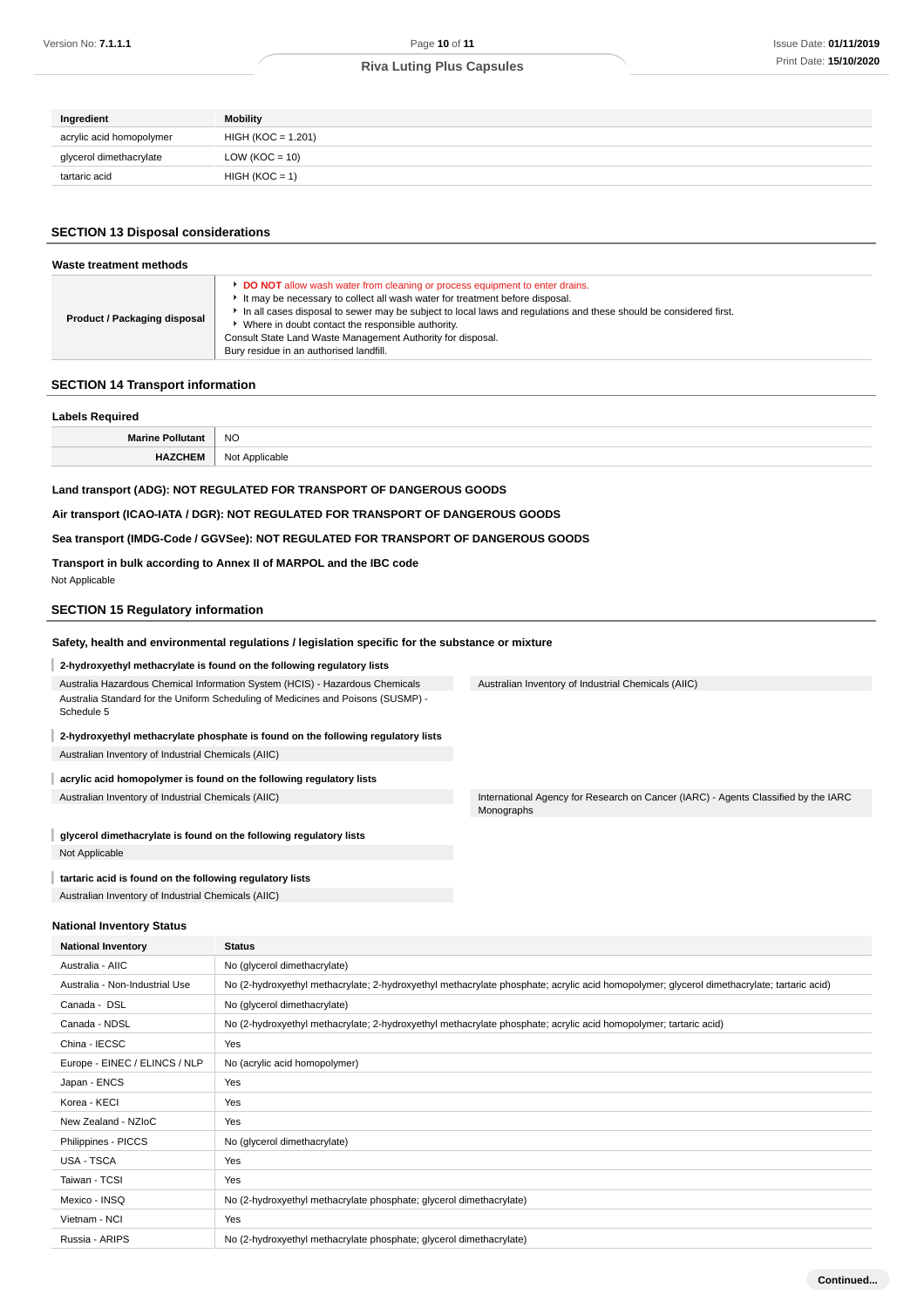| Ingredient               | <b>Mobility</b>    |
|--------------------------|--------------------|
| acrylic acid homopolymer | HIGH (KOC = 1.201) |
| glycerol dimethacrylate  | LOW ( $KOC = 10$ ) |
| tartaric acid            | $HIGH (KOC = 1)$   |

### **SECTION 13 Disposal considerations**

| Waste treatment methods             |                                                                                                                                                                                                                                                                                                                                                                                                                                                 |  |
|-------------------------------------|-------------------------------------------------------------------------------------------------------------------------------------------------------------------------------------------------------------------------------------------------------------------------------------------------------------------------------------------------------------------------------------------------------------------------------------------------|--|
| <b>Product / Packaging disposal</b> | DO NOT allow wash water from cleaning or process equipment to enter drains.<br>It may be necessary to collect all wash water for treatment before disposal.<br>In all cases disposal to sewer may be subject to local laws and regulations and these should be considered first.<br>Where in doubt contact the responsible authority.<br>Consult State Land Waste Management Authority for disposal.<br>Bury residue in an authorised landfill. |  |

### **SECTION 14 Transport information**

| <b>Labels Required</b>  |                |  |
|-------------------------|----------------|--|
| <b>Marine Pollutant</b> | <b>NO</b>      |  |
| HAZCHEM                 | Not Applicable |  |
|                         |                |  |

# **Land transport (ADG): NOT REGULATED FOR TRANSPORT OF DANGEROUS GOODS**

#### **Air transport (ICAO-IATA / DGR): NOT REGULATED FOR TRANSPORT OF DANGEROUS GOODS**

#### **Sea transport (IMDG-Code / GGVSee): NOT REGULATED FOR TRANSPORT OF DANGEROUS GOODS**

**Transport in bulk according to Annex II of MARPOL and the IBC code** Not Applicable

#### **SECTION 15 Regulatory information**

#### **Safety, health and environmental regulations / legislation specific for the substance or mixture**

#### **2-hydroxyethyl methacrylate is found on the following regulatory lists**

Australia Hazardous Chemical Information System (HCIS) - Hazardous Chemicals Australia Standard for the Uniform Scheduling of Medicines and Poisons (SUSMP) - Schedule 5

### **2-hydroxyethyl methacrylate phosphate is found on the following regulatory lists** Australian Inventory of Industrial Chemicals (AIIC)

#### I **acrylic acid homopolymer is found on the following regulatory lists**

**glycerol dimethacrylate is found on the following regulatory lists** I Not Applicable

#### **tartaric acid is found on the following regulatory lists** Australian Inventory of Industrial Chemicals (AIIC)

**National Inventory Status**

Australian Inventory of Industrial Chemicals (AIIC)

Australian Inventory of Industrial Chemicals (AIIC) International Agency for Research on Cancer (IARC) - Agents Classified by the IARC Monographs

# **National Inventory Status** Australia - AIIC No (glycerol dimethacrylate) Australia - Non-Industrial Use No (2-hydroxyethyl methacrylate; 2-hydroxyethyl methacrylate phosphate; acrylic acid homopolymer; glycerol dimethacrylate; tartaric acid) Canada - DSL No (glycerol dimethacrylate) Canada - NDSL No (2-hydroxyethyl methacrylate; 2-hydroxyethyl methacrylate phosphate; acrylic acid homopolymer; tartaric acid) China - IECSC Yes Europe - EINEC / ELINCS / NLP No (acrylic acid homopolymer) Japan - ENCS Yes Korea - KECI Yes New Zealand - NZIoC Yes Philippines - PICCS No (glycerol dimethacrylate) USA - TSCA Yes Taiwan - TCSI Yes Mexico - INSQ No (2-hydroxyethyl methacrylate phosphate; glycerol dimethacrylate) Vietnam - NCI Yes Russia - ARIPS No (2-hydroxyethyl methacrylate phosphate; glycerol dimethacrylate)

**Continued...**